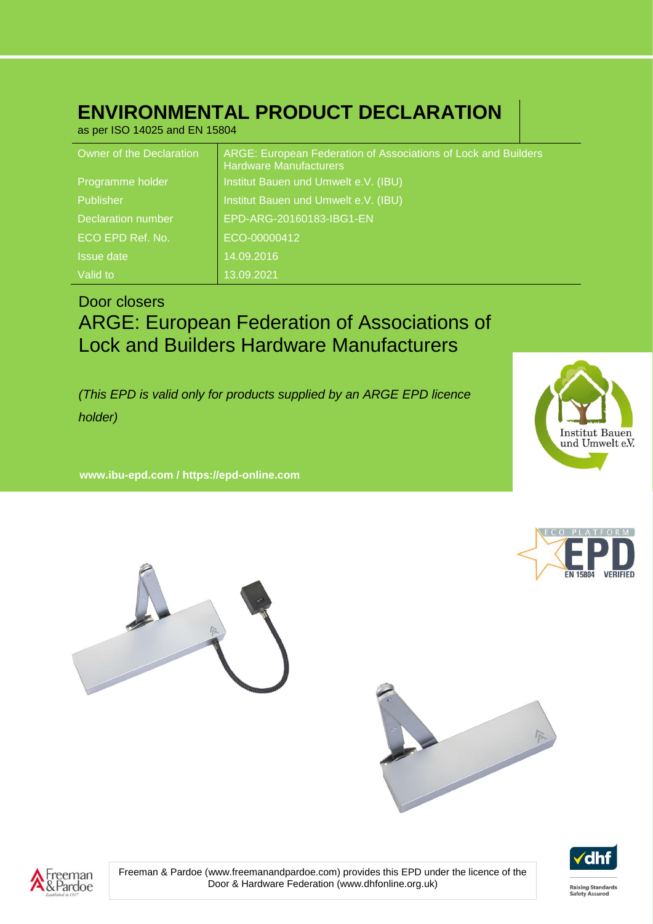## **ENVIRONMENTAL PRODUCT DECLARATION**

as per ISO 14025 and EN 15804

| Owner of the Declaration  | ARGE: European Federation of Associations of Lock and Builders<br><b>Hardware Manufacturers</b> |
|---------------------------|-------------------------------------------------------------------------------------------------|
| Programme holder          | Institut Bauen und Umwelt e.V. (IBU)                                                            |
| Publisher                 | Institut Bauen und Umwelt e.V. (IBU)                                                            |
| <b>Declaration number</b> | EPD-ARG-20160183-IBG1-EN                                                                        |
| ECO EPD Ref. No.          | ECO-00000412                                                                                    |
| <b>Issue date</b>         | 14.09.2016                                                                                      |
| Valid to                  | 13.09.2021                                                                                      |

## Door closers

## ARGE: European Federation of Associations of Lock and Builders Hardware Manufacturers

*(This EPD is valid only for products supplied by an ARGE EPD licence holder)*

**www. ibu-epd.com / https://epd-online.com**









Umwelt Produktdeklaration Name des Herstellers – Name des Produkts





Freeman & Pardoe (www.freemanandpardoe.com) provides this EPD under the licence of the Door & Hardware Federation (www.dhfonline.org.uk)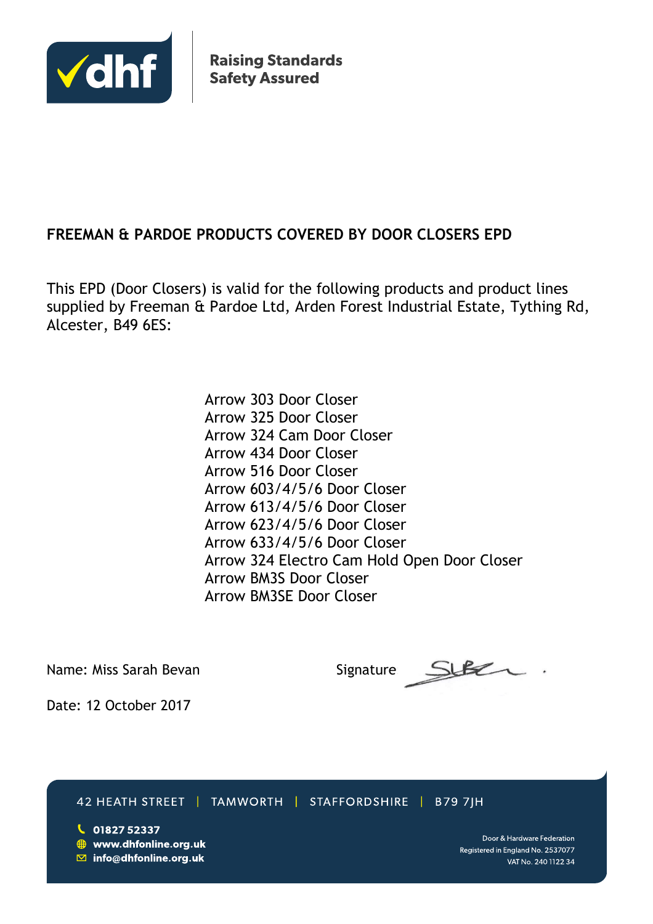

**Raising Standards Safety Assured** 

## **FREEMAN & PARDOE PRODUCTS COVERED BY DOOR CLOSERS EPD**

This EPD (Door Closers) is valid for the following products and product lines supplied by Freeman & Pardoe Ltd, Arden Forest Industrial Estate, Tything Rd, Alcester, B49 6ES:

> Arrow 303 Door Closer Arrow 325 Door Closer Arrow 324 Cam Door Closer Arrow 434 Door Closer Arrow 516 Door Closer Arrow 603/4/5/6 Door Closer Arrow 613/4/5/6 Door Closer Arrow 623/4/5/6 Door Closer Arrow 633/4/5/6 Door Closer Arrow 324 Electro Cam Hold Open Door Closer Arrow BM3S Door Closer Arrow BM3SE Door Closer

Name: Miss Sarah Bevan Signature: Signature:

Date: 12 October 2017

42 HEATH STREET | TAMWORTH | STAFFORDSHIRE | B79 7|H

 $\bigcup$  01827 52337 **₩ww.dhfonline.org.uk**  $\boxdot$  info@dhfonline.org.uk

Door & Hardware Federation Registered in England No. 2537077 VAT No. 240 1122 34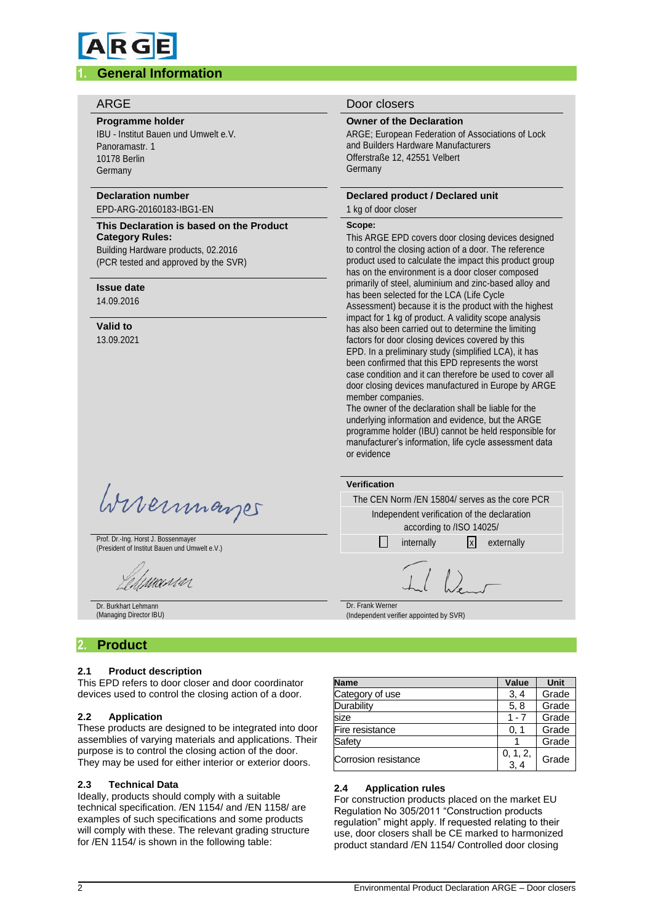# **RG**

#### **1. General Information**

#### **Programme holder**

IBU - Institut Bauen und Umwelt e.V. Panoramastr. 1 10178 Berlin Germany

### **Declaration number**

#### EPD-ARG-20160183-IBG1-EN

**This Declaration is based on the Product Category Rules:** Building Hardware products, 02.2016 (PCR tested and approved by the SVR)

#### **Issue date**

14.09.2016

#### **Valid to**

13.09.2021

Wirermayer

Prof. Dr.-Ing. Horst J. Bossenmayer (President of Institut Bauen und Umwelt e.V.)

'MANN

Dr. Burkhart Lehmann (Managing Director IBU)

#### **2. Product**

#### **2.1 Product description**

This EPD refers to door closer and door coordinator devices used to control the closing action of a door.

#### **2.2 Application**

These products are designed to be integrated into door assemblies of varying materials and applications. Their purpose is to control the closing action of the door. They may be used for either interior or exterior doors.

#### **2.3 Technical Data**

Ideally, products should comply with a suitable technical specification. /EN 1154/ and /EN 1158/ are examples of such specifications and some products will comply with these. The relevant grading structure for /EN 1154/ is shown in the following table:

#### ARGE Door closers

#### **Owner of the Declaration**

ARGE; European Federation of Associations of Lock and Builders Hardware Manufacturers Offerstraße 12, 42551 Velbert Germany

#### **Declared product / Declared unit**

#### 1 kg of door closer

#### **Scope:**

This ARGE EPD covers door closing devices designed to control the closing action of a door. The reference product used to calculate the impact this product group has on the environment is a door closer composed primarily of steel, aluminium and zinc-based alloy and has been selected for the LCA (Life Cycle Assessment) because it is the product with the highest impact for 1 kg of product. A validity scope analysis has also been carried out to determine the limiting factors for door closing devices covered by this EPD. In a preliminary study (simplified LCA), it has been confirmed that this EPD represents the worst case condition and it can therefore be used to cover all door closing devices manufactured in Europe by ARGE member companies.

The owner of the declaration shall be liable for the underlying information and evidence, but the ARGE programme holder (IBU) cannot be held responsible for manufacturer's information, life cycle assessment data or evidence

| Verification     |            |                          |                                                 |
|------------------|------------|--------------------------|-------------------------------------------------|
|                  |            |                          | The CEN Norm / EN 15804/ serves as the core PCR |
|                  |            | according to /ISO 14025/ | Independent verification of the declaration     |
|                  | internally |                          | x  externally                                   |
|                  |            |                          |                                                 |
| Dr. Frank Werner |            |                          |                                                 |

(Independent verifier appointed by SVR)

| <b>Name</b>          | Value              | <b>Unit</b> |
|----------------------|--------------------|-------------|
| Category of use      | 3, 4               | Grade       |
| Durability           | 5, 8               | Grade       |
| size                 | $1 - 7$            | Grade       |
| Fire resistance      | 0. 1               | Grade       |
| Safety               |                    | Grade       |
| Corrosion resistance | $0, 1, 2,$<br>3, 4 | Grade       |

#### **2.4 Application rules**

For construction products placed on the market EU Regulation No 305/2011 "Construction products regulation" might apply. If requested relating to their use, door closers shall be CE marked to harmonized product standard /EN 1154/ Controlled door closing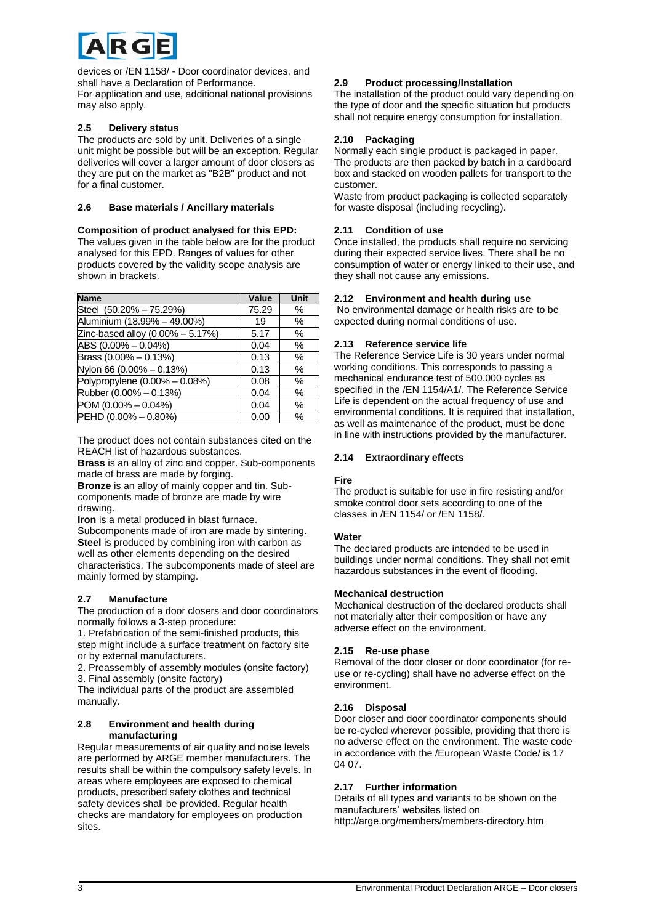

devices or /EN 1158/ - Door coordinator devices, and shall have a Declaration of Performance. For application and use, additional national provisions may also apply.

#### **2.5 Delivery status**

The products are sold by unit. Deliveries of a single unit might be possible but will be an exception. Regular deliveries will cover a larger amount of door closers as they are put on the market as "B2B" product and not for a final customer.

#### **2.6 Base materials / Ancillary materials**

#### **Composition of product analysed for this EPD:**

The values given in the table below are for the product analysed for this EPD. Ranges of values for other products covered by the validity scope analysis are shown in brackets.

| <b>Name</b>                          | Value | Unit |
|--------------------------------------|-------|------|
| Steel (50.20% - 75.29%)              | 75.29 | %    |
| Aluminium (18.99% - 49.00%)          | 19    | %    |
| Zinc-based alloy $(0.00\% - 5.17\%)$ | 5.17  | $\%$ |
| $\overline{ABS}$ (0.00% - 0.04%)     | 0.04  | %    |
| Brass $(0.00\% - 0.13\%)$            | 0.13  | %    |
| Nylon 66 (0.00% - 0.13%)             | 0.13  | $\%$ |
| Polypropylene (0.00% - 0.08%)        | 0.08  | $\%$ |
| Rubber (0.00% - 0.13%)               | 0.04  | %    |
| $POM (0.00\% - 0.04\%)$              | 0.04  | $\%$ |
| PEHD (0.00% - 0.80%)                 | 0.00  | $\%$ |

The product does not contain substances cited on the REACH list of hazardous substances.

**Brass** is an alloy of zinc and copper. Sub-components made of brass are made by forging.

**Bronze** is an alloy of mainly copper and tin. Subcomponents made of bronze are made by wire drawing.

**Iron** is a metal produced in blast furnace.

Subcomponents made of iron are made by sintering. **Steel** is produced by combining iron with carbon as well as other elements depending on the desired characteristics. The subcomponents made of steel are mainly formed by stamping.

#### **2.7 Manufacture**

The production of a door closers and door coordinators normally follows a 3-step procedure:

1. Prefabrication of the semi-finished products, this step might include a surface treatment on factory site or by external manufacturers.

2. Preassembly of assembly modules (onsite factory) 3. Final assembly (onsite factory)

The individual parts of the product are assembled manually.

#### **2.8 Environment and health during manufacturing**

Regular measurements of air quality and noise levels are performed by ARGE member manufacturers. The results shall be within the compulsory safety levels. In areas where employees are exposed to chemical products, prescribed safety clothes and technical safety devices shall be provided. Regular health checks are mandatory for employees on production sites.

#### **2.9 Product processing/Installation**

The installation of the product could vary depending on the type of door and the specific situation but products shall not require energy consumption for installation.

#### **2.10 Packaging**

Normally each single product is packaged in paper. The products are then packed by batch in a cardboard box and stacked on wooden pallets for transport to the customer.

Waste from product packaging is collected separately for waste disposal (including recycling).

#### **2.11 Condition of use**

Once installed, the products shall require no servicing during their expected service lives. There shall be no consumption of water or energy linked to their use, and they shall not cause any emissions.

#### **2.12 Environment and health during use**

No environmental damage or health risks are to be expected during normal conditions of use.

#### **2.13 Reference service life**

The Reference Service Life is 30 years under normal working conditions. This corresponds to passing a mechanical endurance test of 500.000 cycles as specified in the /EN 1154/A1/. The Reference Service Life is dependent on the actual frequency of use and environmental conditions. It is required that installation, as well as maintenance of the product, must be done in line with instructions provided by the manufacturer.

#### **2.14 Extraordinary effects**

#### **Fire**

The product is suitable for use in fire resisting and/or smoke control door sets according to one of the classes in /EN 1154/ or /EN 1158/.

#### **Water**

The declared products are intended to be used in buildings under normal conditions. They shall not emit hazardous substances in the event of flooding.

#### **Mechanical destruction**

Mechanical destruction of the declared products shall not materially alter their composition or have any adverse effect on the environment.

#### **2.15 Re-use phase**

Removal of the door closer or door coordinator (for reuse or re-cycling) shall have no adverse effect on the environment.

#### **2.16 Disposal**

Door closer and door coordinator components should be re-cycled wherever possible, providing that there is no adverse effect on the environment. The waste code in accordance with the /European Waste Code/ is 17 04 07.

#### **2.17 Further information**

Details of all types and variants to be shown on the manufacturers' websites listed on http://arge.org/members/members-directory.htm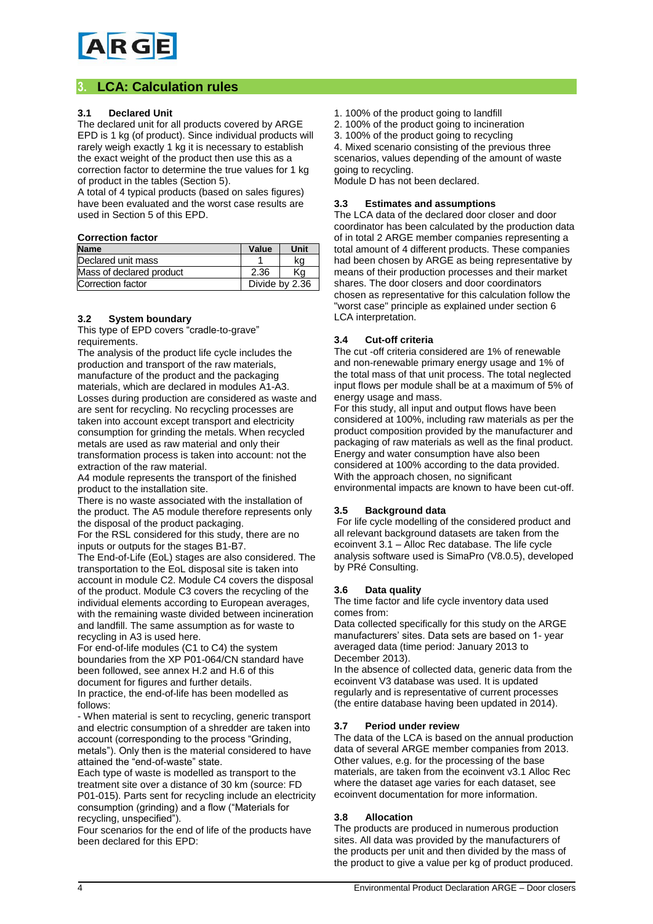#### **3. LCA: Calculation rules**

#### **3.1 Declared Unit**

The declared unit for all products covered by ARGE EPD is 1 kg (of product). Since individual products will rarely weigh exactly 1 kg it is necessary to establish the exact weight of the product then use this as a correction factor to determine the true values for 1 kg of product in the tables (Section 5).

A total of 4 typical products (based on sales figures) have been evaluated and the worst case results are used in Section 5 of this EPD.

#### **Correction factor**

| <b>Name</b>              | Value | Unit           |
|--------------------------|-------|----------------|
| Declared unit mass       |       | kq             |
| Mass of declared product | 2.36  | Κa             |
| Correction factor        |       | Divide by 2.36 |

#### **3.2 System boundary**

This type of EPD covers "cradle-to-grave" requirements.

The analysis of the product life cycle includes the production and transport of the raw materials, manufacture of the product and the packaging materials, which are declared in modules A1-A3. Losses during production are considered as waste and are sent for recycling. No recycling processes are taken into account except transport and electricity consumption for grinding the metals. When recycled metals are used as raw material and only their transformation process is taken into account: not the extraction of the raw material.

A4 module represents the transport of the finished product to the installation site.

There is no waste associated with the installation of the product. The A5 module therefore represents only the disposal of the product packaging.

For the RSL considered for this study, there are no inputs or outputs for the stages B1-B7.

The End-of-Life (EoL) stages are also considered. The transportation to the EoL disposal site is taken into account in module C2. Module C4 covers the disposal of the product. Module C3 covers the recycling of the individual elements according to European averages, with the remaining waste divided between incineration and landfill. The same assumption as for waste to recycling in A3 is used here.

For end-of-life modules (C1 to C4) the system boundaries from the XP P01-064/CN standard have been followed, see annex H.2 and H.6 of this document for figures and further details. In practice, the end-of-life has been modelled as follows:

- When material is sent to recycling, generic transport and electric consumption of a shredder are taken into account (corresponding to the process "Grinding, metals"). Only then is the material considered to have attained the "end-of-waste" state.

Each type of waste is modelled as transport to the treatment site over a distance of 30 km (source: FD P01-015). Parts sent for recycling include an electricity consumption (grinding) and a flow ("Materials for recycling, unspecified").

Four scenarios for the end of life of the products have been declared for this EPD:

1. 100% of the product going to landfill

2. 100% of the product going to incineration

3. 100% of the product going to recycling

4. Mixed scenario consisting of the previous three scenarios, values depending of the amount of waste going to recycling.

Module D has not been declared.

#### **3.3 Estimates and assumptions**

The LCA data of the declared door closer and door coordinator has been calculated by the production data of in total 2 ARGE member companies representing a total amount of 4 different products. These companies had been chosen by ARGE as being representative by means of their production processes and their market shares. The door closers and door coordinators chosen as representative for this calculation follow the "worst case" principle as explained under section 6 LCA interpretation.

#### **3.4 Cut-off criteria**

The cut -off criteria considered are 1% of renewable and non-renewable primary energy usage and 1% of the total mass of that unit process. The total neglected input flows per module shall be at a maximum of 5% of energy usage and mass.

For this study, all input and output flows have been considered at 100%, including raw materials as per the product composition provided by the manufacturer and packaging of raw materials as well as the final product. Energy and water consumption have also been considered at 100% according to the data provided. With the approach chosen, no significant environmental impacts are known to have been cut-off.

#### **3.5 Background data**

For life cycle modelling of the considered product and all relevant background datasets are taken from the ecoinvent 3.1 – Alloc Rec database. The life cycle analysis software used is SimaPro (V8.0.5), developed by PRé Consulting.

#### **3.6 Data quality**

The time factor and life cycle inventory data used comes from:

Data collected specifically for this study on the ARGE manufacturers' sites. Data sets are based on 1- year averaged data (time period: January 2013 to December 2013).

In the absence of collected data, generic data from the ecoinvent V3 database was used. It is updated regularly and is representative of current processes (the entire database having been updated in 2014).

#### **3.7 Period under review**

The data of the LCA is based on the annual production data of several ARGE member companies from 2013. Other values, e.g. for the processing of the base materials, are taken from the ecoinvent v3.1 Alloc Rec where the dataset age varies for each dataset, see ecoinvent documentation for more information.

#### **3.8 Allocation**

The products are produced in numerous production sites. All data was provided by the manufacturers of the products per unit and then divided by the mass of the product to give a value per kg of product produced.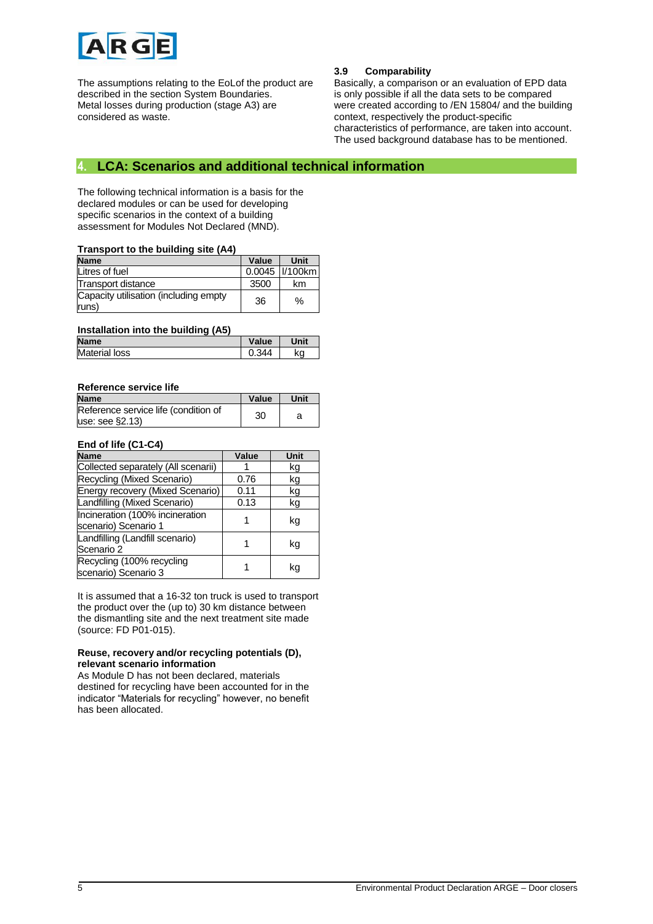

The assumptions relating to the EoLof the product are described in the section System Boundaries. Metal losses during production (stage A3) are considered as waste.

#### **3.9 Comparability**

Basically, a comparison or an evaluation of EPD data is only possible if all the data sets to be compared were created according to /EN 15804/ and the building context, respectively the product-specific characteristics of performance, are taken into account. The used background database has to be mentioned.

#### **4. LCA: Scenarios and additional technical information**

The following technical information is a basis for the declared modules or can be used for developing specific scenarios in the context of a building assessment for Modules Not Declared (MND).

#### **Transport to the building site (A4)**

| <b>Name</b>                                    | Value | Unit              |
|------------------------------------------------|-------|-------------------|
| Litres of fuel                                 |       | 0.0045   1/100 km |
| Transport distance                             | 3500  | km                |
| Capacity utilisation (including empty<br>runs) | 36    | $\%$              |

#### **Installation into the building (A5)**

| <b>Name</b>          | Value | Unit |
|----------------------|-------|------|
| <b>Material loss</b> |       | ka   |

#### **Reference service life**

| <b>Name</b>                          | Value | Unit |
|--------------------------------------|-------|------|
| Reference service life (condition of | 30    |      |
| use: see §2.13                       |       |      |

#### **End of life (C1-C4)**

| <b>Name</b>                                             | Value | Unit |
|---------------------------------------------------------|-------|------|
| Collected separately (All scenarii)                     |       | kg   |
| Recycling (Mixed Scenario)                              | 0.76  | kg   |
| Energy recovery (Mixed Scenario)                        | 0.11  | kg   |
| Landfilling (Mixed Scenario)                            | 0.13  | kg   |
| Incineration (100% incineration<br>scenario) Scenario 1 |       | kg   |
| Landfilling (Landfill scenario)<br>Scenario 2           |       | kg   |
| Recycling (100% recycling<br>scenario) Scenario 3       |       | kq   |

It is assumed that a 16-32 ton truck is used to transport the product over the (up to) 30 km distance between the dismantling site and the next treatment site made (source: FD P01-015).

#### **Reuse, recovery and/or recycling potentials (D), relevant scenario information**

As Module D has not been declared, materials destined for recycling have been accounted for in the indicator "Materials for recycling" however, no benefit has been allocated.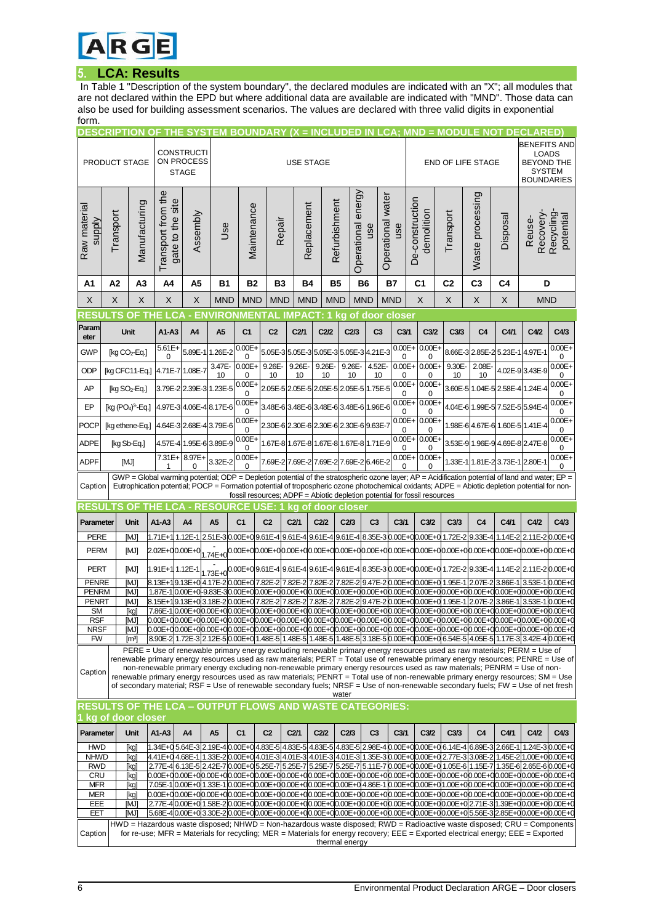

### **5. LCA: Results**

In Table 1 "Description of the system boundary", the declared modules are indicated with an "X"; all modules that are not declared within the EPD but where additional data are available are indicated with "MND". Those data can also be used for building assessment scenarios. The values are declared with three valid digits in exponential form.

| <b>BENEFITS AND</b><br><b>CONSTRUCTI</b><br><b>LOADS</b><br>ON PROCESS<br>PRODUCT STAGE<br><b>BEYOND THE</b><br><b>USE STAGE</b><br><b>END OF LIFE STAGE</b><br><b>SYSTEM</b><br><b>STAGE</b><br><b>BOUNDARIES</b><br>Transport from the<br>Operational energy<br>Waste processing<br>Operational water<br>De-construction<br>site<br>Refurbishment<br>Manufacturing<br>Replacement<br>Maintenance<br>Raw materia<br>demolition<br>Transport<br>Transport<br>Assembly<br>Recovery<br>Recycling<br>Disposal<br>potential<br>gate to the<br>Reuse-<br>Repair<br><b>Alddns</b><br>use<br><b>Jse</b><br>use<br>C <sub>3</sub><br>A <sub>3</sub><br><b>B2</b><br><b>B7</b><br>C <sub>1</sub><br>C <sub>2</sub><br>A2<br>A4<br>A5<br><b>B1</b><br>B3<br>Β4<br><b>B5</b><br><b>B6</b><br>D<br>Α1<br>C4<br>X<br>X<br>X<br>X<br>X<br><b>MND</b><br><b>MND</b><br><b>MND</b><br><b>MND</b><br><b>MND</b><br><b>MND</b><br><b>MND</b><br>X<br>X<br>X<br>X<br><b>MND</b><br><b>IVIRONMENT</b><br>LCA<br>- EN<br><b>IMPACT</b><br>राइड<br>O<br>'AL<br>kg of door close<br>Param<br>Unit<br>$A1-A3$<br>A4<br>A5<br>C <sub>1</sub><br>C <sub>2</sub><br>C2/1<br>C <sub>2/2</sub><br>C2/3<br>C <sub>3</sub><br>C <sub>3/1</sub><br>C <sub>3/2</sub><br>C <sub>3/3</sub><br>C4/1<br>C4/2<br>C4/3<br>C <sub>4</sub><br>eter<br>$0.00E +$<br>$0.00E +$<br>$0.00E +$<br>$0.00E +$<br>$5.61E +$<br>[kg $CO2$ -Eq.]<br>5.89E-1<br>1.26E-2<br>5.05E-3 5.05E-3 5.05E-3 5.05E-3 4.21E-3<br>8.66E-3 2.85E-2<br>5.23E-1<br>4.97E-1<br>GWP<br>0<br>0<br>0<br>0<br>0<br>3.47E-<br>$0.00E +$<br>9.26E-<br>9.26E-<br>9.26E-<br>4.52E-<br>$0.00E +$<br>$0.00E +$<br>2.08E-<br>$0.00E +$<br>9.26E-<br>9.30E-<br>4.02E-9 3.43E-9<br>ODP<br>4.71E-7 1.08E-7<br>[kg CFC11-Eq.]<br>10<br>10<br>10<br>10<br>10<br>10<br>0<br>10<br>0<br>10<br>0<br>0<br>$0.00E +$<br>$0.00E +$<br>$0.00E +$<br>$0.00E +$<br>2.05E-5 2.05E-5 2.05E-5 2.05E-5 1.75E-5<br>3.60E-5 1.04E-5 2.58E-4 1.24E-4<br>AP<br>3.79E-2 2.39E-3 1.23E-5<br>[kg $SO2$ -Eq.]<br>0<br>0<br>0<br>0<br>$0.00E+$<br>$0.00E +$<br>$0.00E +$<br>$0.00E +$<br>EP<br>4.04E-6 1.99E-5 7.52E-5 5.94E-4<br>$[kg (PO4)3 - Eq.]$<br>4.97E-3 4.06E-4 8.17E-6<br>3.48E-6 3.48E-6 3.48E-6 3.48E-6 1.96E-6<br>0<br>0<br>0<br>0<br>$0.00E + 0.00E +$<br>$0.00E +$<br>$0.00E +$<br>4.64E-3 2.68E-4 3.79E-6<br>2.30E-6 2.30E-6 2.30E-6 2.30E-6 9.63E-7<br>1.98E-6 4.67E-6 1.60E-5 1.41E-4<br><b>POCP</b><br>[kg ethene-Eq.]<br>0<br>0<br>0<br>0<br>$0.00E +$<br>$0.00E +$<br>$0.00E +$<br>$0.00E +$<br><b>ADPE</b><br>4.57E-4 1.95E-6 3.89E-9<br>1.67E-8 1.67E-8 1.67E-8 1.67E-8 1.71E-9<br>3.53E-9 1.96E-9 4.69E-8 2.47E-8<br>[kg Sb-Eq.]<br>0<br>0<br>0<br>0<br>$0.00E + 0.00E +$<br>$0.00E +$<br>7.31E+ 8.97E+<br>$0.00E +$<br>3.32E-2<br>7.69E-2 7.69E-2 7.69E-2 7.69E-2 6.46E-2<br>ADPF<br>[MJ]<br>1.33E-1 1.81E-2 3.73E-1 2.80E-1<br>0<br>0<br>0<br>$GWP = Global$ warming potential; ODP = Depletion potential of the stratospheric ozone layer; AP = Acidification potential of land and water; EP =<br>Eutrophication potential; POCP = Formation potential of tropospheric ozone photochemical oxidants; ADPE = Abiotic depletion potential for non-<br>Caption<br>fossil resources; ADPF = Abiotic depletion potential for fossil resources<br><b>- RESOURCE</b><br>OF<br>ka of door closer<br>CА<br>C <sub>2</sub><br>A1-A3<br>A <sub>5</sub><br>C <sub>1</sub><br>C2/1<br>C <sub>2/2</sub><br>C2/3<br>C <sub>3</sub><br>C <sub>3/1</sub><br>C <sub>3/2</sub><br>C3/3<br>C <sub>4</sub><br>C4/1<br>C4/2<br>C4/3<br>Parameter<br>Unit<br>A4<br><b>PERE</b><br>2.51E-30.00E+0 9.61E-4 9.61E-4 9.61E-4 9.61E-4 8.35E-3 0.00E+0 0.00E+0 1.72E-2<br>[MJ]<br>1.71E+1 <sup>1</sup> 1.12E-1<br>9.33E-4<br>1.14E-2<br>2.11E-2 0.00E+0<br><b>PERM</b><br>1.74E+00.00E+00.00E+00.00E+00.00E+00.00E+00.00E+00.00E+00.00E+00.00E+00.00E+00.00E+00.00E+00.00E+00.00E+0<br>[MJ]<br>2.02E+00.00E+0<br><b>PERT</b><br>1.73E+0 <sup>0.00E+0</sup> <sup>9.61E-4</sup> <sup>9.61E-4</sup> 9.61E-49.61E-48.35E-30.00E+00.00E+01.72E-2<br>[MJ]<br>1.91E+1 1.12E-1<br>9.33E-4 1.14E-2<br>2.11E-2 0.00E+0<br>8.13E+10.13E+0 4.17E-2 0.00E+0 7.82E-2 7.82E-2 7.82E-2 7.82E-2 9.47E-2 0.00E+0 0.00E+0 1.95E-1 2.07E-2 3.86E-1 3.53E-1 0.00E+0<br><b>PENRE</b><br>[MJ]<br><b>PENRM</b><br>1.87E-1                            0.00E+0-9.83E-30.00E+00.00E+00.00E+00.00E+00.00E+00.00E+00.00E+00.00E+00.00E+00.00E+00.00E+00.00E+00.00E+00.00E+00.00E+0<br>[MJ]<br><b>PENRT</b><br>8.15E+19.13E+0 3.18E-2 0.00E+0 7.82E-2 7.82E-2 7.82E-2 7.82E-2 9.47E-2 0.00E+0 0.00E+0 1.95E-1<br>2.07E-2<br>3.86E-1<br>3.53E-1 0.00E+0<br>ſMJ<br><b>SM</b><br>7.86E-10.00E+00.00E+00.00E+00.00E+00.00E+00.00E+00.00E+00.00E+00.00E+00.00E+00.00E+00.00E+00.00E+00.00E+00.00E+00.00E+00.00E+0<br>[kg]<br>RSF<br>[MJ]<br>0.00E+00.00E+00.00E+00.00E+00.00E+00.00E+00.00E+00.00E+00.00E+00.00E+00.00E+00.00E+00.00E+00.00E+00.00E+00.00E+00.00E+00.00E+0<br>0.00E+00.00E+00.00E+00.00E+00.00E+00.00E+00.00E+00.00E+00.00E+00.00E+00.00E+00.00E+00.00E+00.00E+00.00E+00.00E+00.00E+00.00E+00.00E+00.00E+00.00E+00.00E+00.00E+0<br><b>NRSF</b><br>imj<br>8.90E-2 1.72E-3 2.12E-5 0.00E+0 1.48E-5 1.48E-5 1.48E-5 1.48E-5 3.18E-5 0.00E+0 0.00E+0 6.54E-5 4.05E-5 1.17E-3 3.42E-4 0.00E+0<br><b>FW</b><br>[m3]<br>PERE = Use of renewable primary energy excluding renewable primary energy resources used as raw materials; PERM = Use of<br>renewable primary energy resources used as raw materials; PERT = Total use of renewable primary energy resources; PENRE = Use of<br>non-renewable primary energy excluding non-renewable primary energy resources used as raw materials; PENRM = Use of non-<br>Caption<br>renewable primary energy resources used as raw materials; PENRT = Total use of non-renewable primary energy resources; SM = Use<br>of secondary material; RSF = Use of renewable secondary fuels; NRSF = Use of non-renewable secondary fuels; FW = Use of net fresh<br>water<br><b>RESULTS OF THE LCA – OUTPUT FLOWS AND WASTE CATEGORIES:</b><br>kg of door closer<br>C <sub>1</sub><br>C <sub>2</sub><br>C <sub>2/2</sub><br>C2/3<br>C <sub>3</sub><br>C <sub>3/1</sub><br>C <sub>3/2</sub><br>C <sub>4</sub><br>C4/2<br>C4/3<br>Parameter<br>Unit<br>A1-A3<br>A4<br>A5<br>C2/1<br>C <sub>3/3</sub><br>C4/1<br><b>HWD</b><br>1.34E+0 5.64E-3 2.19E-4 0.00E+0 4.83E-5 4.83E-5 4.83E-5 2.98E-4 0.00E+0 0.00E+0 6.14E-4 6.89E-3 2.66E-1 1.24E-3 0.00E+0<br>[ka]<br>4.41E+0 4.68E-1 1.33E-2 0.00E+0 4.01E-3 4.01E-3 4.01E-3 4.01E-3 1.35E-3 0.00E+0 0.00E+0 2.77E-3 3.08E-2 1.45E-2 1.00E+0 0.00E+0<br><b>NHWD</b><br>[kg]<br><b>RWD</b><br>2.77E-4 6.13E-5 2.42E-7 0.00E+0 5.25E-7 5.25E-7 5.25E-7 5.25E-7 5.11E-7 0.00E+0 0.00E+0 1.05E-6 1.15E-7 1.35E-6 2.65E-6 0.00E+0<br>[kg]<br><b>CRU</b><br>0.00E+00.00E+00.00E+00.00E+00.00E+00.00E+00.00E+00.00E+00.00E+00.00E+00.00E+00.00E+00.00E+00.00E+00.00E+00.00E+00.00E+00.00E+00.00E+00.00E+00.00E+00.00E+00.00E+0<br>[kg]<br><b>MFR</b><br>[kg]<br>0.00E+00.00E+00.00E+00.00E+00.00E+00.00E+00.00E+00.00E+00.00E+00.00E+00.00E+00.00E+00.00E+00.00E+00.00E+00.00E+00.00E+00.00E+00.00E+00.00E+00.00E+00.00E+00.00E+00.00E+00.00E+00.00E+00.00E+00.00E+00.00E+00.00E+00.00E+00.00E<br><b>MER</b><br>[kg]<br>2.77E-40.00E+01.58E-20.00E+00.00E+00.00E+00.00E+00.00E+00.00E+00.00E+00.00E+00.00E+00.00E+02.71E-3l1.39E+00.00E+00.00E+0<br>EEE<br>[MJ]<br>5.68E-40.00E+03.30E-20.00E+00.00E+00.00E+00.00E+00.00E+00.00E+00.00E+00.00E+00.00E+00.00E+05.56E-32.85E+00.00E+00.00E+0<br>EET<br>imj<br>HWD = Hazardous waste disposed; NHWD = Non-hazardous waste disposed; RWD = Radioactive waste disposed; CRU = Components<br>for re-use; MFR = Materials for recycling; MER = Materials for energy recovery; EEE = Exported electrical energy; EEE = Exported<br>Caption<br>thermal energy |  | <b>DESCRIPTION O</b> |  |  |  |  | HE SYSTEM BOUNDARY |  |  |  |  |  |  |  |  |  | (X = INCLUDED IN LCA: MND = MODULE NOT DECLARED) |  |  |
|---------------------------------------------------------------------------------------------------------------------------------------------------------------------------------------------------------------------------------------------------------------------------------------------------------------------------------------------------------------------------------------------------------------------------------------------------------------------------------------------------------------------------------------------------------------------------------------------------------------------------------------------------------------------------------------------------------------------------------------------------------------------------------------------------------------------------------------------------------------------------------------------------------------------------------------------------------------------------------------------------------------------------------------------------------------------------------------------------------------------------------------------------------------------------------------------------------------------------------------------------------------------------------------------------------------------------------------------------------------------------------------------------------------------------------------------------------------------------------------------------------------------------------------------------------------------------------------------------------------------------------------------------------------------------------------------------------------------------------------------------------------------------------------------------------------------------------------------------------------------------------------------------------------------------------------------------------------------------------------------------------------------------------------------------------------------------------------------------------------------------------------------------------------------------------------------------------------------------------------------------------------------------------------------------------------------------------------------------------------------------------------------------------------------------------------------------------------------------------------------------------------------------------------------------------------------------------------------------------------------------------------------------------------------------------------------------------------------------------------------------------------------------------------------------------------------------------------------------------------------------------------------------------------------------------------------------------------------------------------------------------------------------------------------------------------------------------------------------------------------------------------------------------------------------------------------------------------------------------------------------------------------------------------------------------------------------------------------------------------------------------------------------------------------------------------------------------------------------------------------------------------------------------------------------------------------------------------------------------------------------------------------------------------------------------------------------------------------------------------------------------------------------------------------------------------------------------------------------------------------------------------------------------------------------------------------------------------------------------------------------------------------------------------------------------------------------------------------------------------------------------------------------------------------------------------------------------------------------------------------------------------------------------------------------------------------------------------------------------------------------------------------------------------------------------------------------------------------------------------------------------------------------------------------------------------------------------------------------------------------------------------------------------------------------------------------------------------------------------------------------------------------------------------------------------------------------------------------------------------------------------------------------------------------------------------------------------------------------------------------------------------------------------------------------------------------------------------------------------------------------------------------------------------------------------------------------------------------------------------------------------------------------------------------------------------------------------------------------------------------------------------------------------------------------------------------------------------------------------------------------------------------------------------------------------------------------------------------------------------------------------------------------------------------------------------------------------------------------------------------------------------------------------------------------------------------------------------------------------------------------------------------------------------------------------------------------------------------------------------------------------------------------------------------------------------------------------------------------------------------------------------------------------------------------------------------------------------------------------------------------------------------------------------------------------------------------------------------------------------------------------------------------------------------------------------------------------------------------------------------------------------------------------------------------------------------------------------------------------------------------------------------------------------------------------------------------------------------------------------------------------------------------------------------------------------------------------------------------------------------------------------------------------------------------------------------------------------------------------------------------------------------------------------------------------------------------------------------------------------------------------------------------------------------------------------------------------------------------------------------------------------------------------------------------------------------------------------------------------------------------------------------------------------------------------------------------------------------------------------------------------------------------------------------------------------------------------------------------------------------------------------------------------------------------------------------------------------------------------------------------------------------------------------------------------------------------------------|--|----------------------|--|--|--|--|--------------------|--|--|--|--|--|--|--|--|--|--------------------------------------------------|--|--|
|                                                                                                                                                                                                                                                                                                                                                                                                                                                                                                                                                                                                                                                                                                                                                                                                                                                                                                                                                                                                                                                                                                                                                                                                                                                                                                                                                                                                                                                                                                                                                                                                                                                                                                                                                                                                                                                                                                                                                                                                                                                                                                                                                                                                                                                                                                                                                                                                                                                                                                                                                                                                                                                                                                                                                                                                                                                                                                                                                                                                                                                                                                                                                                                                                                                                                                                                                                                                                                                                                                                                                                                                                                                                                                                                                                                                                                                                                                                                                                                                                                                                                                                                                                                                                                                                                                                                                                                                                                                                                                                                                                                                                                                                                                                                                                                                                                                                                                                                                                                                                                                                                                                                                                                                                                                                                                                                                                                                                                                                                                                                                                                                                                                                                                                                                                                                                                                                                                                                                                                                                                                                                                                                                                                                                                                                                                                                                                                                                                                                                                                                                                                                                                                                                                                                                                                                                                                                                                                                                                                                                                                                                                                                                                                                                                                                                                                                                                                                                                                                                                                                                                                                                                                                                                                                                                                                                                       |  |                      |  |  |  |  |                    |  |  |  |  |  |  |  |  |  |                                                  |  |  |
|                                                                                                                                                                                                                                                                                                                                                                                                                                                                                                                                                                                                                                                                                                                                                                                                                                                                                                                                                                                                                                                                                                                                                                                                                                                                                                                                                                                                                                                                                                                                                                                                                                                                                                                                                                                                                                                                                                                                                                                                                                                                                                                                                                                                                                                                                                                                                                                                                                                                                                                                                                                                                                                                                                                                                                                                                                                                                                                                                                                                                                                                                                                                                                                                                                                                                                                                                                                                                                                                                                                                                                                                                                                                                                                                                                                                                                                                                                                                                                                                                                                                                                                                                                                                                                                                                                                                                                                                                                                                                                                                                                                                                                                                                                                                                                                                                                                                                                                                                                                                                                                                                                                                                                                                                                                                                                                                                                                                                                                                                                                                                                                                                                                                                                                                                                                                                                                                                                                                                                                                                                                                                                                                                                                                                                                                                                                                                                                                                                                                                                                                                                                                                                                                                                                                                                                                                                                                                                                                                                                                                                                                                                                                                                                                                                                                                                                                                                                                                                                                                                                                                                                                                                                                                                                                                                                                                                       |  |                      |  |  |  |  |                    |  |  |  |  |  |  |  |  |  |                                                  |  |  |
|                                                                                                                                                                                                                                                                                                                                                                                                                                                                                                                                                                                                                                                                                                                                                                                                                                                                                                                                                                                                                                                                                                                                                                                                                                                                                                                                                                                                                                                                                                                                                                                                                                                                                                                                                                                                                                                                                                                                                                                                                                                                                                                                                                                                                                                                                                                                                                                                                                                                                                                                                                                                                                                                                                                                                                                                                                                                                                                                                                                                                                                                                                                                                                                                                                                                                                                                                                                                                                                                                                                                                                                                                                                                                                                                                                                                                                                                                                                                                                                                                                                                                                                                                                                                                                                                                                                                                                                                                                                                                                                                                                                                                                                                                                                                                                                                                                                                                                                                                                                                                                                                                                                                                                                                                                                                                                                                                                                                                                                                                                                                                                                                                                                                                                                                                                                                                                                                                                                                                                                                                                                                                                                                                                                                                                                                                                                                                                                                                                                                                                                                                                                                                                                                                                                                                                                                                                                                                                                                                                                                                                                                                                                                                                                                                                                                                                                                                                                                                                                                                                                                                                                                                                                                                                                                                                                                                                       |  |                      |  |  |  |  |                    |  |  |  |  |  |  |  |  |  |                                                  |  |  |
|                                                                                                                                                                                                                                                                                                                                                                                                                                                                                                                                                                                                                                                                                                                                                                                                                                                                                                                                                                                                                                                                                                                                                                                                                                                                                                                                                                                                                                                                                                                                                                                                                                                                                                                                                                                                                                                                                                                                                                                                                                                                                                                                                                                                                                                                                                                                                                                                                                                                                                                                                                                                                                                                                                                                                                                                                                                                                                                                                                                                                                                                                                                                                                                                                                                                                                                                                                                                                                                                                                                                                                                                                                                                                                                                                                                                                                                                                                                                                                                                                                                                                                                                                                                                                                                                                                                                                                                                                                                                                                                                                                                                                                                                                                                                                                                                                                                                                                                                                                                                                                                                                                                                                                                                                                                                                                                                                                                                                                                                                                                                                                                                                                                                                                                                                                                                                                                                                                                                                                                                                                                                                                                                                                                                                                                                                                                                                                                                                                                                                                                                                                                                                                                                                                                                                                                                                                                                                                                                                                                                                                                                                                                                                                                                                                                                                                                                                                                                                                                                                                                                                                                                                                                                                                                                                                                                                                       |  |                      |  |  |  |  |                    |  |  |  |  |  |  |  |  |  |                                                  |  |  |
|                                                                                                                                                                                                                                                                                                                                                                                                                                                                                                                                                                                                                                                                                                                                                                                                                                                                                                                                                                                                                                                                                                                                                                                                                                                                                                                                                                                                                                                                                                                                                                                                                                                                                                                                                                                                                                                                                                                                                                                                                                                                                                                                                                                                                                                                                                                                                                                                                                                                                                                                                                                                                                                                                                                                                                                                                                                                                                                                                                                                                                                                                                                                                                                                                                                                                                                                                                                                                                                                                                                                                                                                                                                                                                                                                                                                                                                                                                                                                                                                                                                                                                                                                                                                                                                                                                                                                                                                                                                                                                                                                                                                                                                                                                                                                                                                                                                                                                                                                                                                                                                                                                                                                                                                                                                                                                                                                                                                                                                                                                                                                                                                                                                                                                                                                                                                                                                                                                                                                                                                                                                                                                                                                                                                                                                                                                                                                                                                                                                                                                                                                                                                                                                                                                                                                                                                                                                                                                                                                                                                                                                                                                                                                                                                                                                                                                                                                                                                                                                                                                                                                                                                                                                                                                                                                                                                                                       |  |                      |  |  |  |  |                    |  |  |  |  |  |  |  |  |  |                                                  |  |  |
|                                                                                                                                                                                                                                                                                                                                                                                                                                                                                                                                                                                                                                                                                                                                                                                                                                                                                                                                                                                                                                                                                                                                                                                                                                                                                                                                                                                                                                                                                                                                                                                                                                                                                                                                                                                                                                                                                                                                                                                                                                                                                                                                                                                                                                                                                                                                                                                                                                                                                                                                                                                                                                                                                                                                                                                                                                                                                                                                                                                                                                                                                                                                                                                                                                                                                                                                                                                                                                                                                                                                                                                                                                                                                                                                                                                                                                                                                                                                                                                                                                                                                                                                                                                                                                                                                                                                                                                                                                                                                                                                                                                                                                                                                                                                                                                                                                                                                                                                                                                                                                                                                                                                                                                                                                                                                                                                                                                                                                                                                                                                                                                                                                                                                                                                                                                                                                                                                                                                                                                                                                                                                                                                                                                                                                                                                                                                                                                                                                                                                                                                                                                                                                                                                                                                                                                                                                                                                                                                                                                                                                                                                                                                                                                                                                                                                                                                                                                                                                                                                                                                                                                                                                                                                                                                                                                                                                       |  |                      |  |  |  |  |                    |  |  |  |  |  |  |  |  |  |                                                  |  |  |
|                                                                                                                                                                                                                                                                                                                                                                                                                                                                                                                                                                                                                                                                                                                                                                                                                                                                                                                                                                                                                                                                                                                                                                                                                                                                                                                                                                                                                                                                                                                                                                                                                                                                                                                                                                                                                                                                                                                                                                                                                                                                                                                                                                                                                                                                                                                                                                                                                                                                                                                                                                                                                                                                                                                                                                                                                                                                                                                                                                                                                                                                                                                                                                                                                                                                                                                                                                                                                                                                                                                                                                                                                                                                                                                                                                                                                                                                                                                                                                                                                                                                                                                                                                                                                                                                                                                                                                                                                                                                                                                                                                                                                                                                                                                                                                                                                                                                                                                                                                                                                                                                                                                                                                                                                                                                                                                                                                                                                                                                                                                                                                                                                                                                                                                                                                                                                                                                                                                                                                                                                                                                                                                                                                                                                                                                                                                                                                                                                                                                                                                                                                                                                                                                                                                                                                                                                                                                                                                                                                                                                                                                                                                                                                                                                                                                                                                                                                                                                                                                                                                                                                                                                                                                                                                                                                                                                                       |  |                      |  |  |  |  |                    |  |  |  |  |  |  |  |  |  |                                                  |  |  |
|                                                                                                                                                                                                                                                                                                                                                                                                                                                                                                                                                                                                                                                                                                                                                                                                                                                                                                                                                                                                                                                                                                                                                                                                                                                                                                                                                                                                                                                                                                                                                                                                                                                                                                                                                                                                                                                                                                                                                                                                                                                                                                                                                                                                                                                                                                                                                                                                                                                                                                                                                                                                                                                                                                                                                                                                                                                                                                                                                                                                                                                                                                                                                                                                                                                                                                                                                                                                                                                                                                                                                                                                                                                                                                                                                                                                                                                                                                                                                                                                                                                                                                                                                                                                                                                                                                                                                                                                                                                                                                                                                                                                                                                                                                                                                                                                                                                                                                                                                                                                                                                                                                                                                                                                                                                                                                                                                                                                                                                                                                                                                                                                                                                                                                                                                                                                                                                                                                                                                                                                                                                                                                                                                                                                                                                                                                                                                                                                                                                                                                                                                                                                                                                                                                                                                                                                                                                                                                                                                                                                                                                                                                                                                                                                                                                                                                                                                                                                                                                                                                                                                                                                                                                                                                                                                                                                                                       |  |                      |  |  |  |  |                    |  |  |  |  |  |  |  |  |  |                                                  |  |  |
|                                                                                                                                                                                                                                                                                                                                                                                                                                                                                                                                                                                                                                                                                                                                                                                                                                                                                                                                                                                                                                                                                                                                                                                                                                                                                                                                                                                                                                                                                                                                                                                                                                                                                                                                                                                                                                                                                                                                                                                                                                                                                                                                                                                                                                                                                                                                                                                                                                                                                                                                                                                                                                                                                                                                                                                                                                                                                                                                                                                                                                                                                                                                                                                                                                                                                                                                                                                                                                                                                                                                                                                                                                                                                                                                                                                                                                                                                                                                                                                                                                                                                                                                                                                                                                                                                                                                                                                                                                                                                                                                                                                                                                                                                                                                                                                                                                                                                                                                                                                                                                                                                                                                                                                                                                                                                                                                                                                                                                                                                                                                                                                                                                                                                                                                                                                                                                                                                                                                                                                                                                                                                                                                                                                                                                                                                                                                                                                                                                                                                                                                                                                                                                                                                                                                                                                                                                                                                                                                                                                                                                                                                                                                                                                                                                                                                                                                                                                                                                                                                                                                                                                                                                                                                                                                                                                                                                       |  |                      |  |  |  |  |                    |  |  |  |  |  |  |  |  |  |                                                  |  |  |
|                                                                                                                                                                                                                                                                                                                                                                                                                                                                                                                                                                                                                                                                                                                                                                                                                                                                                                                                                                                                                                                                                                                                                                                                                                                                                                                                                                                                                                                                                                                                                                                                                                                                                                                                                                                                                                                                                                                                                                                                                                                                                                                                                                                                                                                                                                                                                                                                                                                                                                                                                                                                                                                                                                                                                                                                                                                                                                                                                                                                                                                                                                                                                                                                                                                                                                                                                                                                                                                                                                                                                                                                                                                                                                                                                                                                                                                                                                                                                                                                                                                                                                                                                                                                                                                                                                                                                                                                                                                                                                                                                                                                                                                                                                                                                                                                                                                                                                                                                                                                                                                                                                                                                                                                                                                                                                                                                                                                                                                                                                                                                                                                                                                                                                                                                                                                                                                                                                                                                                                                                                                                                                                                                                                                                                                                                                                                                                                                                                                                                                                                                                                                                                                                                                                                                                                                                                                                                                                                                                                                                                                                                                                                                                                                                                                                                                                                                                                                                                                                                                                                                                                                                                                                                                                                                                                                                                       |  |                      |  |  |  |  |                    |  |  |  |  |  |  |  |  |  |                                                  |  |  |
|                                                                                                                                                                                                                                                                                                                                                                                                                                                                                                                                                                                                                                                                                                                                                                                                                                                                                                                                                                                                                                                                                                                                                                                                                                                                                                                                                                                                                                                                                                                                                                                                                                                                                                                                                                                                                                                                                                                                                                                                                                                                                                                                                                                                                                                                                                                                                                                                                                                                                                                                                                                                                                                                                                                                                                                                                                                                                                                                                                                                                                                                                                                                                                                                                                                                                                                                                                                                                                                                                                                                                                                                                                                                                                                                                                                                                                                                                                                                                                                                                                                                                                                                                                                                                                                                                                                                                                                                                                                                                                                                                                                                                                                                                                                                                                                                                                                                                                                                                                                                                                                                                                                                                                                                                                                                                                                                                                                                                                                                                                                                                                                                                                                                                                                                                                                                                                                                                                                                                                                                                                                                                                                                                                                                                                                                                                                                                                                                                                                                                                                                                                                                                                                                                                                                                                                                                                                                                                                                                                                                                                                                                                                                                                                                                                                                                                                                                                                                                                                                                                                                                                                                                                                                                                                                                                                                                                       |  |                      |  |  |  |  |                    |  |  |  |  |  |  |  |  |  |                                                  |  |  |
|                                                                                                                                                                                                                                                                                                                                                                                                                                                                                                                                                                                                                                                                                                                                                                                                                                                                                                                                                                                                                                                                                                                                                                                                                                                                                                                                                                                                                                                                                                                                                                                                                                                                                                                                                                                                                                                                                                                                                                                                                                                                                                                                                                                                                                                                                                                                                                                                                                                                                                                                                                                                                                                                                                                                                                                                                                                                                                                                                                                                                                                                                                                                                                                                                                                                                                                                                                                                                                                                                                                                                                                                                                                                                                                                                                                                                                                                                                                                                                                                                                                                                                                                                                                                                                                                                                                                                                                                                                                                                                                                                                                                                                                                                                                                                                                                                                                                                                                                                                                                                                                                                                                                                                                                                                                                                                                                                                                                                                                                                                                                                                                                                                                                                                                                                                                                                                                                                                                                                                                                                                                                                                                                                                                                                                                                                                                                                                                                                                                                                                                                                                                                                                                                                                                                                                                                                                                                                                                                                                                                                                                                                                                                                                                                                                                                                                                                                                                                                                                                                                                                                                                                                                                                                                                                                                                                                                       |  |                      |  |  |  |  |                    |  |  |  |  |  |  |  |  |  |                                                  |  |  |
|                                                                                                                                                                                                                                                                                                                                                                                                                                                                                                                                                                                                                                                                                                                                                                                                                                                                                                                                                                                                                                                                                                                                                                                                                                                                                                                                                                                                                                                                                                                                                                                                                                                                                                                                                                                                                                                                                                                                                                                                                                                                                                                                                                                                                                                                                                                                                                                                                                                                                                                                                                                                                                                                                                                                                                                                                                                                                                                                                                                                                                                                                                                                                                                                                                                                                                                                                                                                                                                                                                                                                                                                                                                                                                                                                                                                                                                                                                                                                                                                                                                                                                                                                                                                                                                                                                                                                                                                                                                                                                                                                                                                                                                                                                                                                                                                                                                                                                                                                                                                                                                                                                                                                                                                                                                                                                                                                                                                                                                                                                                                                                                                                                                                                                                                                                                                                                                                                                                                                                                                                                                                                                                                                                                                                                                                                                                                                                                                                                                                                                                                                                                                                                                                                                                                                                                                                                                                                                                                                                                                                                                                                                                                                                                                                                                                                                                                                                                                                                                                                                                                                                                                                                                                                                                                                                                                                                       |  |                      |  |  |  |  |                    |  |  |  |  |  |  |  |  |  |                                                  |  |  |
|                                                                                                                                                                                                                                                                                                                                                                                                                                                                                                                                                                                                                                                                                                                                                                                                                                                                                                                                                                                                                                                                                                                                                                                                                                                                                                                                                                                                                                                                                                                                                                                                                                                                                                                                                                                                                                                                                                                                                                                                                                                                                                                                                                                                                                                                                                                                                                                                                                                                                                                                                                                                                                                                                                                                                                                                                                                                                                                                                                                                                                                                                                                                                                                                                                                                                                                                                                                                                                                                                                                                                                                                                                                                                                                                                                                                                                                                                                                                                                                                                                                                                                                                                                                                                                                                                                                                                                                                                                                                                                                                                                                                                                                                                                                                                                                                                                                                                                                                                                                                                                                                                                                                                                                                                                                                                                                                                                                                                                                                                                                                                                                                                                                                                                                                                                                                                                                                                                                                                                                                                                                                                                                                                                                                                                                                                                                                                                                                                                                                                                                                                                                                                                                                                                                                                                                                                                                                                                                                                                                                                                                                                                                                                                                                                                                                                                                                                                                                                                                                                                                                                                                                                                                                                                                                                                                                                                       |  |                      |  |  |  |  |                    |  |  |  |  |  |  |  |  |  |                                                  |  |  |
|                                                                                                                                                                                                                                                                                                                                                                                                                                                                                                                                                                                                                                                                                                                                                                                                                                                                                                                                                                                                                                                                                                                                                                                                                                                                                                                                                                                                                                                                                                                                                                                                                                                                                                                                                                                                                                                                                                                                                                                                                                                                                                                                                                                                                                                                                                                                                                                                                                                                                                                                                                                                                                                                                                                                                                                                                                                                                                                                                                                                                                                                                                                                                                                                                                                                                                                                                                                                                                                                                                                                                                                                                                                                                                                                                                                                                                                                                                                                                                                                                                                                                                                                                                                                                                                                                                                                                                                                                                                                                                                                                                                                                                                                                                                                                                                                                                                                                                                                                                                                                                                                                                                                                                                                                                                                                                                                                                                                                                                                                                                                                                                                                                                                                                                                                                                                                                                                                                                                                                                                                                                                                                                                                                                                                                                                                                                                                                                                                                                                                                                                                                                                                                                                                                                                                                                                                                                                                                                                                                                                                                                                                                                                                                                                                                                                                                                                                                                                                                                                                                                                                                                                                                                                                                                                                                                                                                       |  |                      |  |  |  |  |                    |  |  |  |  |  |  |  |  |  |                                                  |  |  |
|                                                                                                                                                                                                                                                                                                                                                                                                                                                                                                                                                                                                                                                                                                                                                                                                                                                                                                                                                                                                                                                                                                                                                                                                                                                                                                                                                                                                                                                                                                                                                                                                                                                                                                                                                                                                                                                                                                                                                                                                                                                                                                                                                                                                                                                                                                                                                                                                                                                                                                                                                                                                                                                                                                                                                                                                                                                                                                                                                                                                                                                                                                                                                                                                                                                                                                                                                                                                                                                                                                                                                                                                                                                                                                                                                                                                                                                                                                                                                                                                                                                                                                                                                                                                                                                                                                                                                                                                                                                                                                                                                                                                                                                                                                                                                                                                                                                                                                                                                                                                                                                                                                                                                                                                                                                                                                                                                                                                                                                                                                                                                                                                                                                                                                                                                                                                                                                                                                                                                                                                                                                                                                                                                                                                                                                                                                                                                                                                                                                                                                                                                                                                                                                                                                                                                                                                                                                                                                                                                                                                                                                                                                                                                                                                                                                                                                                                                                                                                                                                                                                                                                                                                                                                                                                                                                                                                                       |  |                      |  |  |  |  |                    |  |  |  |  |  |  |  |  |  |                                                  |  |  |
|                                                                                                                                                                                                                                                                                                                                                                                                                                                                                                                                                                                                                                                                                                                                                                                                                                                                                                                                                                                                                                                                                                                                                                                                                                                                                                                                                                                                                                                                                                                                                                                                                                                                                                                                                                                                                                                                                                                                                                                                                                                                                                                                                                                                                                                                                                                                                                                                                                                                                                                                                                                                                                                                                                                                                                                                                                                                                                                                                                                                                                                                                                                                                                                                                                                                                                                                                                                                                                                                                                                                                                                                                                                                                                                                                                                                                                                                                                                                                                                                                                                                                                                                                                                                                                                                                                                                                                                                                                                                                                                                                                                                                                                                                                                                                                                                                                                                                                                                                                                                                                                                                                                                                                                                                                                                                                                                                                                                                                                                                                                                                                                                                                                                                                                                                                                                                                                                                                                                                                                                                                                                                                                                                                                                                                                                                                                                                                                                                                                                                                                                                                                                                                                                                                                                                                                                                                                                                                                                                                                                                                                                                                                                                                                                                                                                                                                                                                                                                                                                                                                                                                                                                                                                                                                                                                                                                                       |  |                      |  |  |  |  |                    |  |  |  |  |  |  |  |  |  |                                                  |  |  |
|                                                                                                                                                                                                                                                                                                                                                                                                                                                                                                                                                                                                                                                                                                                                                                                                                                                                                                                                                                                                                                                                                                                                                                                                                                                                                                                                                                                                                                                                                                                                                                                                                                                                                                                                                                                                                                                                                                                                                                                                                                                                                                                                                                                                                                                                                                                                                                                                                                                                                                                                                                                                                                                                                                                                                                                                                                                                                                                                                                                                                                                                                                                                                                                                                                                                                                                                                                                                                                                                                                                                                                                                                                                                                                                                                                                                                                                                                                                                                                                                                                                                                                                                                                                                                                                                                                                                                                                                                                                                                                                                                                                                                                                                                                                                                                                                                                                                                                                                                                                                                                                                                                                                                                                                                                                                                                                                                                                                                                                                                                                                                                                                                                                                                                                                                                                                                                                                                                                                                                                                                                                                                                                                                                                                                                                                                                                                                                                                                                                                                                                                                                                                                                                                                                                                                                                                                                                                                                                                                                                                                                                                                                                                                                                                                                                                                                                                                                                                                                                                                                                                                                                                                                                                                                                                                                                                                                       |  |                      |  |  |  |  |                    |  |  |  |  |  |  |  |  |  |                                                  |  |  |
|                                                                                                                                                                                                                                                                                                                                                                                                                                                                                                                                                                                                                                                                                                                                                                                                                                                                                                                                                                                                                                                                                                                                                                                                                                                                                                                                                                                                                                                                                                                                                                                                                                                                                                                                                                                                                                                                                                                                                                                                                                                                                                                                                                                                                                                                                                                                                                                                                                                                                                                                                                                                                                                                                                                                                                                                                                                                                                                                                                                                                                                                                                                                                                                                                                                                                                                                                                                                                                                                                                                                                                                                                                                                                                                                                                                                                                                                                                                                                                                                                                                                                                                                                                                                                                                                                                                                                                                                                                                                                                                                                                                                                                                                                                                                                                                                                                                                                                                                                                                                                                                                                                                                                                                                                                                                                                                                                                                                                                                                                                                                                                                                                                                                                                                                                                                                                                                                                                                                                                                                                                                                                                                                                                                                                                                                                                                                                                                                                                                                                                                                                                                                                                                                                                                                                                                                                                                                                                                                                                                                                                                                                                                                                                                                                                                                                                                                                                                                                                                                                                                                                                                                                                                                                                                                                                                                                                       |  |                      |  |  |  |  |                    |  |  |  |  |  |  |  |  |  |                                                  |  |  |
|                                                                                                                                                                                                                                                                                                                                                                                                                                                                                                                                                                                                                                                                                                                                                                                                                                                                                                                                                                                                                                                                                                                                                                                                                                                                                                                                                                                                                                                                                                                                                                                                                                                                                                                                                                                                                                                                                                                                                                                                                                                                                                                                                                                                                                                                                                                                                                                                                                                                                                                                                                                                                                                                                                                                                                                                                                                                                                                                                                                                                                                                                                                                                                                                                                                                                                                                                                                                                                                                                                                                                                                                                                                                                                                                                                                                                                                                                                                                                                                                                                                                                                                                                                                                                                                                                                                                                                                                                                                                                                                                                                                                                                                                                                                                                                                                                                                                                                                                                                                                                                                                                                                                                                                                                                                                                                                                                                                                                                                                                                                                                                                                                                                                                                                                                                                                                                                                                                                                                                                                                                                                                                                                                                                                                                                                                                                                                                                                                                                                                                                                                                                                                                                                                                                                                                                                                                                                                                                                                                                                                                                                                                                                                                                                                                                                                                                                                                                                                                                                                                                                                                                                                                                                                                                                                                                                                                       |  |                      |  |  |  |  |                    |  |  |  |  |  |  |  |  |  |                                                  |  |  |
|                                                                                                                                                                                                                                                                                                                                                                                                                                                                                                                                                                                                                                                                                                                                                                                                                                                                                                                                                                                                                                                                                                                                                                                                                                                                                                                                                                                                                                                                                                                                                                                                                                                                                                                                                                                                                                                                                                                                                                                                                                                                                                                                                                                                                                                                                                                                                                                                                                                                                                                                                                                                                                                                                                                                                                                                                                                                                                                                                                                                                                                                                                                                                                                                                                                                                                                                                                                                                                                                                                                                                                                                                                                                                                                                                                                                                                                                                                                                                                                                                                                                                                                                                                                                                                                                                                                                                                                                                                                                                                                                                                                                                                                                                                                                                                                                                                                                                                                                                                                                                                                                                                                                                                                                                                                                                                                                                                                                                                                                                                                                                                                                                                                                                                                                                                                                                                                                                                                                                                                                                                                                                                                                                                                                                                                                                                                                                                                                                                                                                                                                                                                                                                                                                                                                                                                                                                                                                                                                                                                                                                                                                                                                                                                                                                                                                                                                                                                                                                                                                                                                                                                                                                                                                                                                                                                                                                       |  |                      |  |  |  |  |                    |  |  |  |  |  |  |  |  |  |                                                  |  |  |
|                                                                                                                                                                                                                                                                                                                                                                                                                                                                                                                                                                                                                                                                                                                                                                                                                                                                                                                                                                                                                                                                                                                                                                                                                                                                                                                                                                                                                                                                                                                                                                                                                                                                                                                                                                                                                                                                                                                                                                                                                                                                                                                                                                                                                                                                                                                                                                                                                                                                                                                                                                                                                                                                                                                                                                                                                                                                                                                                                                                                                                                                                                                                                                                                                                                                                                                                                                                                                                                                                                                                                                                                                                                                                                                                                                                                                                                                                                                                                                                                                                                                                                                                                                                                                                                                                                                                                                                                                                                                                                                                                                                                                                                                                                                                                                                                                                                                                                                                                                                                                                                                                                                                                                                                                                                                                                                                                                                                                                                                                                                                                                                                                                                                                                                                                                                                                                                                                                                                                                                                                                                                                                                                                                                                                                                                                                                                                                                                                                                                                                                                                                                                                                                                                                                                                                                                                                                                                                                                                                                                                                                                                                                                                                                                                                                                                                                                                                                                                                                                                                                                                                                                                                                                                                                                                                                                                                       |  |                      |  |  |  |  |                    |  |  |  |  |  |  |  |  |  |                                                  |  |  |
|                                                                                                                                                                                                                                                                                                                                                                                                                                                                                                                                                                                                                                                                                                                                                                                                                                                                                                                                                                                                                                                                                                                                                                                                                                                                                                                                                                                                                                                                                                                                                                                                                                                                                                                                                                                                                                                                                                                                                                                                                                                                                                                                                                                                                                                                                                                                                                                                                                                                                                                                                                                                                                                                                                                                                                                                                                                                                                                                                                                                                                                                                                                                                                                                                                                                                                                                                                                                                                                                                                                                                                                                                                                                                                                                                                                                                                                                                                                                                                                                                                                                                                                                                                                                                                                                                                                                                                                                                                                                                                                                                                                                                                                                                                                                                                                                                                                                                                                                                                                                                                                                                                                                                                                                                                                                                                                                                                                                                                                                                                                                                                                                                                                                                                                                                                                                                                                                                                                                                                                                                                                                                                                                                                                                                                                                                                                                                                                                                                                                                                                                                                                                                                                                                                                                                                                                                                                                                                                                                                                                                                                                                                                                                                                                                                                                                                                                                                                                                                                                                                                                                                                                                                                                                                                                                                                                                                       |  |                      |  |  |  |  |                    |  |  |  |  |  |  |  |  |  |                                                  |  |  |
|                                                                                                                                                                                                                                                                                                                                                                                                                                                                                                                                                                                                                                                                                                                                                                                                                                                                                                                                                                                                                                                                                                                                                                                                                                                                                                                                                                                                                                                                                                                                                                                                                                                                                                                                                                                                                                                                                                                                                                                                                                                                                                                                                                                                                                                                                                                                                                                                                                                                                                                                                                                                                                                                                                                                                                                                                                                                                                                                                                                                                                                                                                                                                                                                                                                                                                                                                                                                                                                                                                                                                                                                                                                                                                                                                                                                                                                                                                                                                                                                                                                                                                                                                                                                                                                                                                                                                                                                                                                                                                                                                                                                                                                                                                                                                                                                                                                                                                                                                                                                                                                                                                                                                                                                                                                                                                                                                                                                                                                                                                                                                                                                                                                                                                                                                                                                                                                                                                                                                                                                                                                                                                                                                                                                                                                                                                                                                                                                                                                                                                                                                                                                                                                                                                                                                                                                                                                                                                                                                                                                                                                                                                                                                                                                                                                                                                                                                                                                                                                                                                                                                                                                                                                                                                                                                                                                                                       |  |                      |  |  |  |  |                    |  |  |  |  |  |  |  |  |  |                                                  |  |  |
|                                                                                                                                                                                                                                                                                                                                                                                                                                                                                                                                                                                                                                                                                                                                                                                                                                                                                                                                                                                                                                                                                                                                                                                                                                                                                                                                                                                                                                                                                                                                                                                                                                                                                                                                                                                                                                                                                                                                                                                                                                                                                                                                                                                                                                                                                                                                                                                                                                                                                                                                                                                                                                                                                                                                                                                                                                                                                                                                                                                                                                                                                                                                                                                                                                                                                                                                                                                                                                                                                                                                                                                                                                                                                                                                                                                                                                                                                                                                                                                                                                                                                                                                                                                                                                                                                                                                                                                                                                                                                                                                                                                                                                                                                                                                                                                                                                                                                                                                                                                                                                                                                                                                                                                                                                                                                                                                                                                                                                                                                                                                                                                                                                                                                                                                                                                                                                                                                                                                                                                                                                                                                                                                                                                                                                                                                                                                                                                                                                                                                                                                                                                                                                                                                                                                                                                                                                                                                                                                                                                                                                                                                                                                                                                                                                                                                                                                                                                                                                                                                                                                                                                                                                                                                                                                                                                                                                       |  |                      |  |  |  |  |                    |  |  |  |  |  |  |  |  |  |                                                  |  |  |
|                                                                                                                                                                                                                                                                                                                                                                                                                                                                                                                                                                                                                                                                                                                                                                                                                                                                                                                                                                                                                                                                                                                                                                                                                                                                                                                                                                                                                                                                                                                                                                                                                                                                                                                                                                                                                                                                                                                                                                                                                                                                                                                                                                                                                                                                                                                                                                                                                                                                                                                                                                                                                                                                                                                                                                                                                                                                                                                                                                                                                                                                                                                                                                                                                                                                                                                                                                                                                                                                                                                                                                                                                                                                                                                                                                                                                                                                                                                                                                                                                                                                                                                                                                                                                                                                                                                                                                                                                                                                                                                                                                                                                                                                                                                                                                                                                                                                                                                                                                                                                                                                                                                                                                                                                                                                                                                                                                                                                                                                                                                                                                                                                                                                                                                                                                                                                                                                                                                                                                                                                                                                                                                                                                                                                                                                                                                                                                                                                                                                                                                                                                                                                                                                                                                                                                                                                                                                                                                                                                                                                                                                                                                                                                                                                                                                                                                                                                                                                                                                                                                                                                                                                                                                                                                                                                                                                                       |  |                      |  |  |  |  |                    |  |  |  |  |  |  |  |  |  |                                                  |  |  |
|                                                                                                                                                                                                                                                                                                                                                                                                                                                                                                                                                                                                                                                                                                                                                                                                                                                                                                                                                                                                                                                                                                                                                                                                                                                                                                                                                                                                                                                                                                                                                                                                                                                                                                                                                                                                                                                                                                                                                                                                                                                                                                                                                                                                                                                                                                                                                                                                                                                                                                                                                                                                                                                                                                                                                                                                                                                                                                                                                                                                                                                                                                                                                                                                                                                                                                                                                                                                                                                                                                                                                                                                                                                                                                                                                                                                                                                                                                                                                                                                                                                                                                                                                                                                                                                                                                                                                                                                                                                                                                                                                                                                                                                                                                                                                                                                                                                                                                                                                                                                                                                                                                                                                                                                                                                                                                                                                                                                                                                                                                                                                                                                                                                                                                                                                                                                                                                                                                                                                                                                                                                                                                                                                                                                                                                                                                                                                                                                                                                                                                                                                                                                                                                                                                                                                                                                                                                                                                                                                                                                                                                                                                                                                                                                                                                                                                                                                                                                                                                                                                                                                                                                                                                                                                                                                                                                                                       |  |                      |  |  |  |  |                    |  |  |  |  |  |  |  |  |  |                                                  |  |  |
|                                                                                                                                                                                                                                                                                                                                                                                                                                                                                                                                                                                                                                                                                                                                                                                                                                                                                                                                                                                                                                                                                                                                                                                                                                                                                                                                                                                                                                                                                                                                                                                                                                                                                                                                                                                                                                                                                                                                                                                                                                                                                                                                                                                                                                                                                                                                                                                                                                                                                                                                                                                                                                                                                                                                                                                                                                                                                                                                                                                                                                                                                                                                                                                                                                                                                                                                                                                                                                                                                                                                                                                                                                                                                                                                                                                                                                                                                                                                                                                                                                                                                                                                                                                                                                                                                                                                                                                                                                                                                                                                                                                                                                                                                                                                                                                                                                                                                                                                                                                                                                                                                                                                                                                                                                                                                                                                                                                                                                                                                                                                                                                                                                                                                                                                                                                                                                                                                                                                                                                                                                                                                                                                                                                                                                                                                                                                                                                                                                                                                                                                                                                                                                                                                                                                                                                                                                                                                                                                                                                                                                                                                                                                                                                                                                                                                                                                                                                                                                                                                                                                                                                                                                                                                                                                                                                                                                       |  |                      |  |  |  |  |                    |  |  |  |  |  |  |  |  |  |                                                  |  |  |
|                                                                                                                                                                                                                                                                                                                                                                                                                                                                                                                                                                                                                                                                                                                                                                                                                                                                                                                                                                                                                                                                                                                                                                                                                                                                                                                                                                                                                                                                                                                                                                                                                                                                                                                                                                                                                                                                                                                                                                                                                                                                                                                                                                                                                                                                                                                                                                                                                                                                                                                                                                                                                                                                                                                                                                                                                                                                                                                                                                                                                                                                                                                                                                                                                                                                                                                                                                                                                                                                                                                                                                                                                                                                                                                                                                                                                                                                                                                                                                                                                                                                                                                                                                                                                                                                                                                                                                                                                                                                                                                                                                                                                                                                                                                                                                                                                                                                                                                                                                                                                                                                                                                                                                                                                                                                                                                                                                                                                                                                                                                                                                                                                                                                                                                                                                                                                                                                                                                                                                                                                                                                                                                                                                                                                                                                                                                                                                                                                                                                                                                                                                                                                                                                                                                                                                                                                                                                                                                                                                                                                                                                                                                                                                                                                                                                                                                                                                                                                                                                                                                                                                                                                                                                                                                                                                                                                                       |  |                      |  |  |  |  |                    |  |  |  |  |  |  |  |  |  |                                                  |  |  |
|                                                                                                                                                                                                                                                                                                                                                                                                                                                                                                                                                                                                                                                                                                                                                                                                                                                                                                                                                                                                                                                                                                                                                                                                                                                                                                                                                                                                                                                                                                                                                                                                                                                                                                                                                                                                                                                                                                                                                                                                                                                                                                                                                                                                                                                                                                                                                                                                                                                                                                                                                                                                                                                                                                                                                                                                                                                                                                                                                                                                                                                                                                                                                                                                                                                                                                                                                                                                                                                                                                                                                                                                                                                                                                                                                                                                                                                                                                                                                                                                                                                                                                                                                                                                                                                                                                                                                                                                                                                                                                                                                                                                                                                                                                                                                                                                                                                                                                                                                                                                                                                                                                                                                                                                                                                                                                                                                                                                                                                                                                                                                                                                                                                                                                                                                                                                                                                                                                                                                                                                                                                                                                                                                                                                                                                                                                                                                                                                                                                                                                                                                                                                                                                                                                                                                                                                                                                                                                                                                                                                                                                                                                                                                                                                                                                                                                                                                                                                                                                                                                                                                                                                                                                                                                                                                                                                                                       |  |                      |  |  |  |  |                    |  |  |  |  |  |  |  |  |  |                                                  |  |  |
|                                                                                                                                                                                                                                                                                                                                                                                                                                                                                                                                                                                                                                                                                                                                                                                                                                                                                                                                                                                                                                                                                                                                                                                                                                                                                                                                                                                                                                                                                                                                                                                                                                                                                                                                                                                                                                                                                                                                                                                                                                                                                                                                                                                                                                                                                                                                                                                                                                                                                                                                                                                                                                                                                                                                                                                                                                                                                                                                                                                                                                                                                                                                                                                                                                                                                                                                                                                                                                                                                                                                                                                                                                                                                                                                                                                                                                                                                                                                                                                                                                                                                                                                                                                                                                                                                                                                                                                                                                                                                                                                                                                                                                                                                                                                                                                                                                                                                                                                                                                                                                                                                                                                                                                                                                                                                                                                                                                                                                                                                                                                                                                                                                                                                                                                                                                                                                                                                                                                                                                                                                                                                                                                                                                                                                                                                                                                                                                                                                                                                                                                                                                                                                                                                                                                                                                                                                                                                                                                                                                                                                                                                                                                                                                                                                                                                                                                                                                                                                                                                                                                                                                                                                                                                                                                                                                                                                       |  |                      |  |  |  |  |                    |  |  |  |  |  |  |  |  |  |                                                  |  |  |
|                                                                                                                                                                                                                                                                                                                                                                                                                                                                                                                                                                                                                                                                                                                                                                                                                                                                                                                                                                                                                                                                                                                                                                                                                                                                                                                                                                                                                                                                                                                                                                                                                                                                                                                                                                                                                                                                                                                                                                                                                                                                                                                                                                                                                                                                                                                                                                                                                                                                                                                                                                                                                                                                                                                                                                                                                                                                                                                                                                                                                                                                                                                                                                                                                                                                                                                                                                                                                                                                                                                                                                                                                                                                                                                                                                                                                                                                                                                                                                                                                                                                                                                                                                                                                                                                                                                                                                                                                                                                                                                                                                                                                                                                                                                                                                                                                                                                                                                                                                                                                                                                                                                                                                                                                                                                                                                                                                                                                                                                                                                                                                                                                                                                                                                                                                                                                                                                                                                                                                                                                                                                                                                                                                                                                                                                                                                                                                                                                                                                                                                                                                                                                                                                                                                                                                                                                                                                                                                                                                                                                                                                                                                                                                                                                                                                                                                                                                                                                                                                                                                                                                                                                                                                                                                                                                                                                                       |  |                      |  |  |  |  |                    |  |  |  |  |  |  |  |  |  |                                                  |  |  |
|                                                                                                                                                                                                                                                                                                                                                                                                                                                                                                                                                                                                                                                                                                                                                                                                                                                                                                                                                                                                                                                                                                                                                                                                                                                                                                                                                                                                                                                                                                                                                                                                                                                                                                                                                                                                                                                                                                                                                                                                                                                                                                                                                                                                                                                                                                                                                                                                                                                                                                                                                                                                                                                                                                                                                                                                                                                                                                                                                                                                                                                                                                                                                                                                                                                                                                                                                                                                                                                                                                                                                                                                                                                                                                                                                                                                                                                                                                                                                                                                                                                                                                                                                                                                                                                                                                                                                                                                                                                                                                                                                                                                                                                                                                                                                                                                                                                                                                                                                                                                                                                                                                                                                                                                                                                                                                                                                                                                                                                                                                                                                                                                                                                                                                                                                                                                                                                                                                                                                                                                                                                                                                                                                                                                                                                                                                                                                                                                                                                                                                                                                                                                                                                                                                                                                                                                                                                                                                                                                                                                                                                                                                                                                                                                                                                                                                                                                                                                                                                                                                                                                                                                                                                                                                                                                                                                                                       |  |                      |  |  |  |  |                    |  |  |  |  |  |  |  |  |  |                                                  |  |  |
|                                                                                                                                                                                                                                                                                                                                                                                                                                                                                                                                                                                                                                                                                                                                                                                                                                                                                                                                                                                                                                                                                                                                                                                                                                                                                                                                                                                                                                                                                                                                                                                                                                                                                                                                                                                                                                                                                                                                                                                                                                                                                                                                                                                                                                                                                                                                                                                                                                                                                                                                                                                                                                                                                                                                                                                                                                                                                                                                                                                                                                                                                                                                                                                                                                                                                                                                                                                                                                                                                                                                                                                                                                                                                                                                                                                                                                                                                                                                                                                                                                                                                                                                                                                                                                                                                                                                                                                                                                                                                                                                                                                                                                                                                                                                                                                                                                                                                                                                                                                                                                                                                                                                                                                                                                                                                                                                                                                                                                                                                                                                                                                                                                                                                                                                                                                                                                                                                                                                                                                                                                                                                                                                                                                                                                                                                                                                                                                                                                                                                                                                                                                                                                                                                                                                                                                                                                                                                                                                                                                                                                                                                                                                                                                                                                                                                                                                                                                                                                                                                                                                                                                                                                                                                                                                                                                                                                       |  |                      |  |  |  |  |                    |  |  |  |  |  |  |  |  |  |                                                  |  |  |
|                                                                                                                                                                                                                                                                                                                                                                                                                                                                                                                                                                                                                                                                                                                                                                                                                                                                                                                                                                                                                                                                                                                                                                                                                                                                                                                                                                                                                                                                                                                                                                                                                                                                                                                                                                                                                                                                                                                                                                                                                                                                                                                                                                                                                                                                                                                                                                                                                                                                                                                                                                                                                                                                                                                                                                                                                                                                                                                                                                                                                                                                                                                                                                                                                                                                                                                                                                                                                                                                                                                                                                                                                                                                                                                                                                                                                                                                                                                                                                                                                                                                                                                                                                                                                                                                                                                                                                                                                                                                                                                                                                                                                                                                                                                                                                                                                                                                                                                                                                                                                                                                                                                                                                                                                                                                                                                                                                                                                                                                                                                                                                                                                                                                                                                                                                                                                                                                                                                                                                                                                                                                                                                                                                                                                                                                                                                                                                                                                                                                                                                                                                                                                                                                                                                                                                                                                                                                                                                                                                                                                                                                                                                                                                                                                                                                                                                                                                                                                                                                                                                                                                                                                                                                                                                                                                                                                                       |  |                      |  |  |  |  |                    |  |  |  |  |  |  |  |  |  |                                                  |  |  |
|                                                                                                                                                                                                                                                                                                                                                                                                                                                                                                                                                                                                                                                                                                                                                                                                                                                                                                                                                                                                                                                                                                                                                                                                                                                                                                                                                                                                                                                                                                                                                                                                                                                                                                                                                                                                                                                                                                                                                                                                                                                                                                                                                                                                                                                                                                                                                                                                                                                                                                                                                                                                                                                                                                                                                                                                                                                                                                                                                                                                                                                                                                                                                                                                                                                                                                                                                                                                                                                                                                                                                                                                                                                                                                                                                                                                                                                                                                                                                                                                                                                                                                                                                                                                                                                                                                                                                                                                                                                                                                                                                                                                                                                                                                                                                                                                                                                                                                                                                                                                                                                                                                                                                                                                                                                                                                                                                                                                                                                                                                                                                                                                                                                                                                                                                                                                                                                                                                                                                                                                                                                                                                                                                                                                                                                                                                                                                                                                                                                                                                                                                                                                                                                                                                                                                                                                                                                                                                                                                                                                                                                                                                                                                                                                                                                                                                                                                                                                                                                                                                                                                                                                                                                                                                                                                                                                                                       |  |                      |  |  |  |  |                    |  |  |  |  |  |  |  |  |  |                                                  |  |  |
|                                                                                                                                                                                                                                                                                                                                                                                                                                                                                                                                                                                                                                                                                                                                                                                                                                                                                                                                                                                                                                                                                                                                                                                                                                                                                                                                                                                                                                                                                                                                                                                                                                                                                                                                                                                                                                                                                                                                                                                                                                                                                                                                                                                                                                                                                                                                                                                                                                                                                                                                                                                                                                                                                                                                                                                                                                                                                                                                                                                                                                                                                                                                                                                                                                                                                                                                                                                                                                                                                                                                                                                                                                                                                                                                                                                                                                                                                                                                                                                                                                                                                                                                                                                                                                                                                                                                                                                                                                                                                                                                                                                                                                                                                                                                                                                                                                                                                                                                                                                                                                                                                                                                                                                                                                                                                                                                                                                                                                                                                                                                                                                                                                                                                                                                                                                                                                                                                                                                                                                                                                                                                                                                                                                                                                                                                                                                                                                                                                                                                                                                                                                                                                                                                                                                                                                                                                                                                                                                                                                                                                                                                                                                                                                                                                                                                                                                                                                                                                                                                                                                                                                                                                                                                                                                                                                                                                       |  |                      |  |  |  |  |                    |  |  |  |  |  |  |  |  |  |                                                  |  |  |
|                                                                                                                                                                                                                                                                                                                                                                                                                                                                                                                                                                                                                                                                                                                                                                                                                                                                                                                                                                                                                                                                                                                                                                                                                                                                                                                                                                                                                                                                                                                                                                                                                                                                                                                                                                                                                                                                                                                                                                                                                                                                                                                                                                                                                                                                                                                                                                                                                                                                                                                                                                                                                                                                                                                                                                                                                                                                                                                                                                                                                                                                                                                                                                                                                                                                                                                                                                                                                                                                                                                                                                                                                                                                                                                                                                                                                                                                                                                                                                                                                                                                                                                                                                                                                                                                                                                                                                                                                                                                                                                                                                                                                                                                                                                                                                                                                                                                                                                                                                                                                                                                                                                                                                                                                                                                                                                                                                                                                                                                                                                                                                                                                                                                                                                                                                                                                                                                                                                                                                                                                                                                                                                                                                                                                                                                                                                                                                                                                                                                                                                                                                                                                                                                                                                                                                                                                                                                                                                                                                                                                                                                                                                                                                                                                                                                                                                                                                                                                                                                                                                                                                                                                                                                                                                                                                                                                                       |  |                      |  |  |  |  |                    |  |  |  |  |  |  |  |  |  |                                                  |  |  |
|                                                                                                                                                                                                                                                                                                                                                                                                                                                                                                                                                                                                                                                                                                                                                                                                                                                                                                                                                                                                                                                                                                                                                                                                                                                                                                                                                                                                                                                                                                                                                                                                                                                                                                                                                                                                                                                                                                                                                                                                                                                                                                                                                                                                                                                                                                                                                                                                                                                                                                                                                                                                                                                                                                                                                                                                                                                                                                                                                                                                                                                                                                                                                                                                                                                                                                                                                                                                                                                                                                                                                                                                                                                                                                                                                                                                                                                                                                                                                                                                                                                                                                                                                                                                                                                                                                                                                                                                                                                                                                                                                                                                                                                                                                                                                                                                                                                                                                                                                                                                                                                                                                                                                                                                                                                                                                                                                                                                                                                                                                                                                                                                                                                                                                                                                                                                                                                                                                                                                                                                                                                                                                                                                                                                                                                                                                                                                                                                                                                                                                                                                                                                                                                                                                                                                                                                                                                                                                                                                                                                                                                                                                                                                                                                                                                                                                                                                                                                                                                                                                                                                                                                                                                                                                                                                                                                                                       |  |                      |  |  |  |  |                    |  |  |  |  |  |  |  |  |  |                                                  |  |  |
|                                                                                                                                                                                                                                                                                                                                                                                                                                                                                                                                                                                                                                                                                                                                                                                                                                                                                                                                                                                                                                                                                                                                                                                                                                                                                                                                                                                                                                                                                                                                                                                                                                                                                                                                                                                                                                                                                                                                                                                                                                                                                                                                                                                                                                                                                                                                                                                                                                                                                                                                                                                                                                                                                                                                                                                                                                                                                                                                                                                                                                                                                                                                                                                                                                                                                                                                                                                                                                                                                                                                                                                                                                                                                                                                                                                                                                                                                                                                                                                                                                                                                                                                                                                                                                                                                                                                                                                                                                                                                                                                                                                                                                                                                                                                                                                                                                                                                                                                                                                                                                                                                                                                                                                                                                                                                                                                                                                                                                                                                                                                                                                                                                                                                                                                                                                                                                                                                                                                                                                                                                                                                                                                                                                                                                                                                                                                                                                                                                                                                                                                                                                                                                                                                                                                                                                                                                                                                                                                                                                                                                                                                                                                                                                                                                                                                                                                                                                                                                                                                                                                                                                                                                                                                                                                                                                                                                       |  |                      |  |  |  |  |                    |  |  |  |  |  |  |  |  |  |                                                  |  |  |
|                                                                                                                                                                                                                                                                                                                                                                                                                                                                                                                                                                                                                                                                                                                                                                                                                                                                                                                                                                                                                                                                                                                                                                                                                                                                                                                                                                                                                                                                                                                                                                                                                                                                                                                                                                                                                                                                                                                                                                                                                                                                                                                                                                                                                                                                                                                                                                                                                                                                                                                                                                                                                                                                                                                                                                                                                                                                                                                                                                                                                                                                                                                                                                                                                                                                                                                                                                                                                                                                                                                                                                                                                                                                                                                                                                                                                                                                                                                                                                                                                                                                                                                                                                                                                                                                                                                                                                                                                                                                                                                                                                                                                                                                                                                                                                                                                                                                                                                                                                                                                                                                                                                                                                                                                                                                                                                                                                                                                                                                                                                                                                                                                                                                                                                                                                                                                                                                                                                                                                                                                                                                                                                                                                                                                                                                                                                                                                                                                                                                                                                                                                                                                                                                                                                                                                                                                                                                                                                                                                                                                                                                                                                                                                                                                                                                                                                                                                                                                                                                                                                                                                                                                                                                                                                                                                                                                                       |  |                      |  |  |  |  |                    |  |  |  |  |  |  |  |  |  |                                                  |  |  |
|                                                                                                                                                                                                                                                                                                                                                                                                                                                                                                                                                                                                                                                                                                                                                                                                                                                                                                                                                                                                                                                                                                                                                                                                                                                                                                                                                                                                                                                                                                                                                                                                                                                                                                                                                                                                                                                                                                                                                                                                                                                                                                                                                                                                                                                                                                                                                                                                                                                                                                                                                                                                                                                                                                                                                                                                                                                                                                                                                                                                                                                                                                                                                                                                                                                                                                                                                                                                                                                                                                                                                                                                                                                                                                                                                                                                                                                                                                                                                                                                                                                                                                                                                                                                                                                                                                                                                                                                                                                                                                                                                                                                                                                                                                                                                                                                                                                                                                                                                                                                                                                                                                                                                                                                                                                                                                                                                                                                                                                                                                                                                                                                                                                                                                                                                                                                                                                                                                                                                                                                                                                                                                                                                                                                                                                                                                                                                                                                                                                                                                                                                                                                                                                                                                                                                                                                                                                                                                                                                                                                                                                                                                                                                                                                                                                                                                                                                                                                                                                                                                                                                                                                                                                                                                                                                                                                                                       |  |                      |  |  |  |  |                    |  |  |  |  |  |  |  |  |  |                                                  |  |  |
|                                                                                                                                                                                                                                                                                                                                                                                                                                                                                                                                                                                                                                                                                                                                                                                                                                                                                                                                                                                                                                                                                                                                                                                                                                                                                                                                                                                                                                                                                                                                                                                                                                                                                                                                                                                                                                                                                                                                                                                                                                                                                                                                                                                                                                                                                                                                                                                                                                                                                                                                                                                                                                                                                                                                                                                                                                                                                                                                                                                                                                                                                                                                                                                                                                                                                                                                                                                                                                                                                                                                                                                                                                                                                                                                                                                                                                                                                                                                                                                                                                                                                                                                                                                                                                                                                                                                                                                                                                                                                                                                                                                                                                                                                                                                                                                                                                                                                                                                                                                                                                                                                                                                                                                                                                                                                                                                                                                                                                                                                                                                                                                                                                                                                                                                                                                                                                                                                                                                                                                                                                                                                                                                                                                                                                                                                                                                                                                                                                                                                                                                                                                                                                                                                                                                                                                                                                                                                                                                                                                                                                                                                                                                                                                                                                                                                                                                                                                                                                                                                                                                                                                                                                                                                                                                                                                                                                       |  |                      |  |  |  |  |                    |  |  |  |  |  |  |  |  |  |                                                  |  |  |
|                                                                                                                                                                                                                                                                                                                                                                                                                                                                                                                                                                                                                                                                                                                                                                                                                                                                                                                                                                                                                                                                                                                                                                                                                                                                                                                                                                                                                                                                                                                                                                                                                                                                                                                                                                                                                                                                                                                                                                                                                                                                                                                                                                                                                                                                                                                                                                                                                                                                                                                                                                                                                                                                                                                                                                                                                                                                                                                                                                                                                                                                                                                                                                                                                                                                                                                                                                                                                                                                                                                                                                                                                                                                                                                                                                                                                                                                                                                                                                                                                                                                                                                                                                                                                                                                                                                                                                                                                                                                                                                                                                                                                                                                                                                                                                                                                                                                                                                                                                                                                                                                                                                                                                                                                                                                                                                                                                                                                                                                                                                                                                                                                                                                                                                                                                                                                                                                                                                                                                                                                                                                                                                                                                                                                                                                                                                                                                                                                                                                                                                                                                                                                                                                                                                                                                                                                                                                                                                                                                                                                                                                                                                                                                                                                                                                                                                                                                                                                                                                                                                                                                                                                                                                                                                                                                                                                                       |  |                      |  |  |  |  |                    |  |  |  |  |  |  |  |  |  |                                                  |  |  |
|                                                                                                                                                                                                                                                                                                                                                                                                                                                                                                                                                                                                                                                                                                                                                                                                                                                                                                                                                                                                                                                                                                                                                                                                                                                                                                                                                                                                                                                                                                                                                                                                                                                                                                                                                                                                                                                                                                                                                                                                                                                                                                                                                                                                                                                                                                                                                                                                                                                                                                                                                                                                                                                                                                                                                                                                                                                                                                                                                                                                                                                                                                                                                                                                                                                                                                                                                                                                                                                                                                                                                                                                                                                                                                                                                                                                                                                                                                                                                                                                                                                                                                                                                                                                                                                                                                                                                                                                                                                                                                                                                                                                                                                                                                                                                                                                                                                                                                                                                                                                                                                                                                                                                                                                                                                                                                                                                                                                                                                                                                                                                                                                                                                                                                                                                                                                                                                                                                                                                                                                                                                                                                                                                                                                                                                                                                                                                                                                                                                                                                                                                                                                                                                                                                                                                                                                                                                                                                                                                                                                                                                                                                                                                                                                                                                                                                                                                                                                                                                                                                                                                                                                                                                                                                                                                                                                                                       |  |                      |  |  |  |  |                    |  |  |  |  |  |  |  |  |  |                                                  |  |  |
|                                                                                                                                                                                                                                                                                                                                                                                                                                                                                                                                                                                                                                                                                                                                                                                                                                                                                                                                                                                                                                                                                                                                                                                                                                                                                                                                                                                                                                                                                                                                                                                                                                                                                                                                                                                                                                                                                                                                                                                                                                                                                                                                                                                                                                                                                                                                                                                                                                                                                                                                                                                                                                                                                                                                                                                                                                                                                                                                                                                                                                                                                                                                                                                                                                                                                                                                                                                                                                                                                                                                                                                                                                                                                                                                                                                                                                                                                                                                                                                                                                                                                                                                                                                                                                                                                                                                                                                                                                                                                                                                                                                                                                                                                                                                                                                                                                                                                                                                                                                                                                                                                                                                                                                                                                                                                                                                                                                                                                                                                                                                                                                                                                                                                                                                                                                                                                                                                                                                                                                                                                                                                                                                                                                                                                                                                                                                                                                                                                                                                                                                                                                                                                                                                                                                                                                                                                                                                                                                                                                                                                                                                                                                                                                                                                                                                                                                                                                                                                                                                                                                                                                                                                                                                                                                                                                                                                       |  |                      |  |  |  |  |                    |  |  |  |  |  |  |  |  |  |                                                  |  |  |
|                                                                                                                                                                                                                                                                                                                                                                                                                                                                                                                                                                                                                                                                                                                                                                                                                                                                                                                                                                                                                                                                                                                                                                                                                                                                                                                                                                                                                                                                                                                                                                                                                                                                                                                                                                                                                                                                                                                                                                                                                                                                                                                                                                                                                                                                                                                                                                                                                                                                                                                                                                                                                                                                                                                                                                                                                                                                                                                                                                                                                                                                                                                                                                                                                                                                                                                                                                                                                                                                                                                                                                                                                                                                                                                                                                                                                                                                                                                                                                                                                                                                                                                                                                                                                                                                                                                                                                                                                                                                                                                                                                                                                                                                                                                                                                                                                                                                                                                                                                                                                                                                                                                                                                                                                                                                                                                                                                                                                                                                                                                                                                                                                                                                                                                                                                                                                                                                                                                                                                                                                                                                                                                                                                                                                                                                                                                                                                                                                                                                                                                                                                                                                                                                                                                                                                                                                                                                                                                                                                                                                                                                                                                                                                                                                                                                                                                                                                                                                                                                                                                                                                                                                                                                                                                                                                                                                                       |  |                      |  |  |  |  |                    |  |  |  |  |  |  |  |  |  |                                                  |  |  |
|                                                                                                                                                                                                                                                                                                                                                                                                                                                                                                                                                                                                                                                                                                                                                                                                                                                                                                                                                                                                                                                                                                                                                                                                                                                                                                                                                                                                                                                                                                                                                                                                                                                                                                                                                                                                                                                                                                                                                                                                                                                                                                                                                                                                                                                                                                                                                                                                                                                                                                                                                                                                                                                                                                                                                                                                                                                                                                                                                                                                                                                                                                                                                                                                                                                                                                                                                                                                                                                                                                                                                                                                                                                                                                                                                                                                                                                                                                                                                                                                                                                                                                                                                                                                                                                                                                                                                                                                                                                                                                                                                                                                                                                                                                                                                                                                                                                                                                                                                                                                                                                                                                                                                                                                                                                                                                                                                                                                                                                                                                                                                                                                                                                                                                                                                                                                                                                                                                                                                                                                                                                                                                                                                                                                                                                                                                                                                                                                                                                                                                                                                                                                                                                                                                                                                                                                                                                                                                                                                                                                                                                                                                                                                                                                                                                                                                                                                                                                                                                                                                                                                                                                                                                                                                                                                                                                                                       |  |                      |  |  |  |  |                    |  |  |  |  |  |  |  |  |  |                                                  |  |  |
|                                                                                                                                                                                                                                                                                                                                                                                                                                                                                                                                                                                                                                                                                                                                                                                                                                                                                                                                                                                                                                                                                                                                                                                                                                                                                                                                                                                                                                                                                                                                                                                                                                                                                                                                                                                                                                                                                                                                                                                                                                                                                                                                                                                                                                                                                                                                                                                                                                                                                                                                                                                                                                                                                                                                                                                                                                                                                                                                                                                                                                                                                                                                                                                                                                                                                                                                                                                                                                                                                                                                                                                                                                                                                                                                                                                                                                                                                                                                                                                                                                                                                                                                                                                                                                                                                                                                                                                                                                                                                                                                                                                                                                                                                                                                                                                                                                                                                                                                                                                                                                                                                                                                                                                                                                                                                                                                                                                                                                                                                                                                                                                                                                                                                                                                                                                                                                                                                                                                                                                                                                                                                                                                                                                                                                                                                                                                                                                                                                                                                                                                                                                                                                                                                                                                                                                                                                                                                                                                                                                                                                                                                                                                                                                                                                                                                                                                                                                                                                                                                                                                                                                                                                                                                                                                                                                                                                       |  |                      |  |  |  |  |                    |  |  |  |  |  |  |  |  |  |                                                  |  |  |
|                                                                                                                                                                                                                                                                                                                                                                                                                                                                                                                                                                                                                                                                                                                                                                                                                                                                                                                                                                                                                                                                                                                                                                                                                                                                                                                                                                                                                                                                                                                                                                                                                                                                                                                                                                                                                                                                                                                                                                                                                                                                                                                                                                                                                                                                                                                                                                                                                                                                                                                                                                                                                                                                                                                                                                                                                                                                                                                                                                                                                                                                                                                                                                                                                                                                                                                                                                                                                                                                                                                                                                                                                                                                                                                                                                                                                                                                                                                                                                                                                                                                                                                                                                                                                                                                                                                                                                                                                                                                                                                                                                                                                                                                                                                                                                                                                                                                                                                                                                                                                                                                                                                                                                                                                                                                                                                                                                                                                                                                                                                                                                                                                                                                                                                                                                                                                                                                                                                                                                                                                                                                                                                                                                                                                                                                                                                                                                                                                                                                                                                                                                                                                                                                                                                                                                                                                                                                                                                                                                                                                                                                                                                                                                                                                                                                                                                                                                                                                                                                                                                                                                                                                                                                                                                                                                                                                                       |  |                      |  |  |  |  |                    |  |  |  |  |  |  |  |  |  |                                                  |  |  |
|                                                                                                                                                                                                                                                                                                                                                                                                                                                                                                                                                                                                                                                                                                                                                                                                                                                                                                                                                                                                                                                                                                                                                                                                                                                                                                                                                                                                                                                                                                                                                                                                                                                                                                                                                                                                                                                                                                                                                                                                                                                                                                                                                                                                                                                                                                                                                                                                                                                                                                                                                                                                                                                                                                                                                                                                                                                                                                                                                                                                                                                                                                                                                                                                                                                                                                                                                                                                                                                                                                                                                                                                                                                                                                                                                                                                                                                                                                                                                                                                                                                                                                                                                                                                                                                                                                                                                                                                                                                                                                                                                                                                                                                                                                                                                                                                                                                                                                                                                                                                                                                                                                                                                                                                                                                                                                                                                                                                                                                                                                                                                                                                                                                                                                                                                                                                                                                                                                                                                                                                                                                                                                                                                                                                                                                                                                                                                                                                                                                                                                                                                                                                                                                                                                                                                                                                                                                                                                                                                                                                                                                                                                                                                                                                                                                                                                                                                                                                                                                                                                                                                                                                                                                                                                                                                                                                                                       |  |                      |  |  |  |  |                    |  |  |  |  |  |  |  |  |  |                                                  |  |  |
|                                                                                                                                                                                                                                                                                                                                                                                                                                                                                                                                                                                                                                                                                                                                                                                                                                                                                                                                                                                                                                                                                                                                                                                                                                                                                                                                                                                                                                                                                                                                                                                                                                                                                                                                                                                                                                                                                                                                                                                                                                                                                                                                                                                                                                                                                                                                                                                                                                                                                                                                                                                                                                                                                                                                                                                                                                                                                                                                                                                                                                                                                                                                                                                                                                                                                                                                                                                                                                                                                                                                                                                                                                                                                                                                                                                                                                                                                                                                                                                                                                                                                                                                                                                                                                                                                                                                                                                                                                                                                                                                                                                                                                                                                                                                                                                                                                                                                                                                                                                                                                                                                                                                                                                                                                                                                                                                                                                                                                                                                                                                                                                                                                                                                                                                                                                                                                                                                                                                                                                                                                                                                                                                                                                                                                                                                                                                                                                                                                                                                                                                                                                                                                                                                                                                                                                                                                                                                                                                                                                                                                                                                                                                                                                                                                                                                                                                                                                                                                                                                                                                                                                                                                                                                                                                                                                                                                       |  |                      |  |  |  |  |                    |  |  |  |  |  |  |  |  |  |                                                  |  |  |
|                                                                                                                                                                                                                                                                                                                                                                                                                                                                                                                                                                                                                                                                                                                                                                                                                                                                                                                                                                                                                                                                                                                                                                                                                                                                                                                                                                                                                                                                                                                                                                                                                                                                                                                                                                                                                                                                                                                                                                                                                                                                                                                                                                                                                                                                                                                                                                                                                                                                                                                                                                                                                                                                                                                                                                                                                                                                                                                                                                                                                                                                                                                                                                                                                                                                                                                                                                                                                                                                                                                                                                                                                                                                                                                                                                                                                                                                                                                                                                                                                                                                                                                                                                                                                                                                                                                                                                                                                                                                                                                                                                                                                                                                                                                                                                                                                                                                                                                                                                                                                                                                                                                                                                                                                                                                                                                                                                                                                                                                                                                                                                                                                                                                                                                                                                                                                                                                                                                                                                                                                                                                                                                                                                                                                                                                                                                                                                                                                                                                                                                                                                                                                                                                                                                                                                                                                                                                                                                                                                                                                                                                                                                                                                                                                                                                                                                                                                                                                                                                                                                                                                                                                                                                                                                                                                                                                                       |  |                      |  |  |  |  |                    |  |  |  |  |  |  |  |  |  |                                                  |  |  |
|                                                                                                                                                                                                                                                                                                                                                                                                                                                                                                                                                                                                                                                                                                                                                                                                                                                                                                                                                                                                                                                                                                                                                                                                                                                                                                                                                                                                                                                                                                                                                                                                                                                                                                                                                                                                                                                                                                                                                                                                                                                                                                                                                                                                                                                                                                                                                                                                                                                                                                                                                                                                                                                                                                                                                                                                                                                                                                                                                                                                                                                                                                                                                                                                                                                                                                                                                                                                                                                                                                                                                                                                                                                                                                                                                                                                                                                                                                                                                                                                                                                                                                                                                                                                                                                                                                                                                                                                                                                                                                                                                                                                                                                                                                                                                                                                                                                                                                                                                                                                                                                                                                                                                                                                                                                                                                                                                                                                                                                                                                                                                                                                                                                                                                                                                                                                                                                                                                                                                                                                                                                                                                                                                                                                                                                                                                                                                                                                                                                                                                                                                                                                                                                                                                                                                                                                                                                                                                                                                                                                                                                                                                                                                                                                                                                                                                                                                                                                                                                                                                                                                                                                                                                                                                                                                                                                                                       |  |                      |  |  |  |  |                    |  |  |  |  |  |  |  |  |  |                                                  |  |  |
|                                                                                                                                                                                                                                                                                                                                                                                                                                                                                                                                                                                                                                                                                                                                                                                                                                                                                                                                                                                                                                                                                                                                                                                                                                                                                                                                                                                                                                                                                                                                                                                                                                                                                                                                                                                                                                                                                                                                                                                                                                                                                                                                                                                                                                                                                                                                                                                                                                                                                                                                                                                                                                                                                                                                                                                                                                                                                                                                                                                                                                                                                                                                                                                                                                                                                                                                                                                                                                                                                                                                                                                                                                                                                                                                                                                                                                                                                                                                                                                                                                                                                                                                                                                                                                                                                                                                                                                                                                                                                                                                                                                                                                                                                                                                                                                                                                                                                                                                                                                                                                                                                                                                                                                                                                                                                                                                                                                                                                                                                                                                                                                                                                                                                                                                                                                                                                                                                                                                                                                                                                                                                                                                                                                                                                                                                                                                                                                                                                                                                                                                                                                                                                                                                                                                                                                                                                                                                                                                                                                                                                                                                                                                                                                                                                                                                                                                                                                                                                                                                                                                                                                                                                                                                                                                                                                                                                       |  |                      |  |  |  |  |                    |  |  |  |  |  |  |  |  |  |                                                  |  |  |
|                                                                                                                                                                                                                                                                                                                                                                                                                                                                                                                                                                                                                                                                                                                                                                                                                                                                                                                                                                                                                                                                                                                                                                                                                                                                                                                                                                                                                                                                                                                                                                                                                                                                                                                                                                                                                                                                                                                                                                                                                                                                                                                                                                                                                                                                                                                                                                                                                                                                                                                                                                                                                                                                                                                                                                                                                                                                                                                                                                                                                                                                                                                                                                                                                                                                                                                                                                                                                                                                                                                                                                                                                                                                                                                                                                                                                                                                                                                                                                                                                                                                                                                                                                                                                                                                                                                                                                                                                                                                                                                                                                                                                                                                                                                                                                                                                                                                                                                                                                                                                                                                                                                                                                                                                                                                                                                                                                                                                                                                                                                                                                                                                                                                                                                                                                                                                                                                                                                                                                                                                                                                                                                                                                                                                                                                                                                                                                                                                                                                                                                                                                                                                                                                                                                                                                                                                                                                                                                                                                                                                                                                                                                                                                                                                                                                                                                                                                                                                                                                                                                                                                                                                                                                                                                                                                                                                                       |  |                      |  |  |  |  |                    |  |  |  |  |  |  |  |  |  |                                                  |  |  |
|                                                                                                                                                                                                                                                                                                                                                                                                                                                                                                                                                                                                                                                                                                                                                                                                                                                                                                                                                                                                                                                                                                                                                                                                                                                                                                                                                                                                                                                                                                                                                                                                                                                                                                                                                                                                                                                                                                                                                                                                                                                                                                                                                                                                                                                                                                                                                                                                                                                                                                                                                                                                                                                                                                                                                                                                                                                                                                                                                                                                                                                                                                                                                                                                                                                                                                                                                                                                                                                                                                                                                                                                                                                                                                                                                                                                                                                                                                                                                                                                                                                                                                                                                                                                                                                                                                                                                                                                                                                                                                                                                                                                                                                                                                                                                                                                                                                                                                                                                                                                                                                                                                                                                                                                                                                                                                                                                                                                                                                                                                                                                                                                                                                                                                                                                                                                                                                                                                                                                                                                                                                                                                                                                                                                                                                                                                                                                                                                                                                                                                                                                                                                                                                                                                                                                                                                                                                                                                                                                                                                                                                                                                                                                                                                                                                                                                                                                                                                                                                                                                                                                                                                                                                                                                                                                                                                                                       |  |                      |  |  |  |  |                    |  |  |  |  |  |  |  |  |  |                                                  |  |  |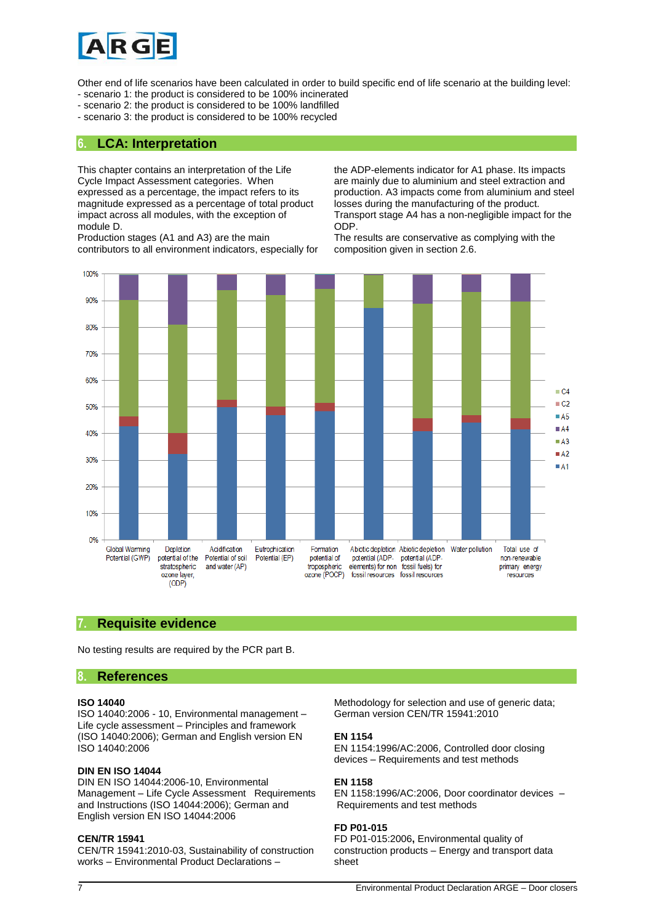

Other end of life scenarios have been calculated in order to build specific end of life scenario at the building level:

- scenario 1: the product is considered to be 100% incinerated
- scenario 2: the product is considered to be 100% landfilled
- scenario 3: the product is considered to be 100% recycled

#### **6. LCA: Interpretation**

This chapter contains an interpretation of the Life Cycle Impact Assessment categories. When expressed as a percentage, the impact refers to its magnitude expressed as a percentage of total product impact across all modules, with the exception of module D.

Production stages (A1 and A3) are the main contributors to all environment indicators, especially for the ADP-elements indicator for A1 phase. Its impacts are mainly due to aluminium and steel extraction and production. A3 impacts come from aluminium and steel losses during the manufacturing of the product. Transport stage A4 has a non-negligible impact for the ODP.

The results are conservative as complying with the composition given in section 2.6.



#### **7. Requisite evidence**

No testing results are required by the PCR part B.

#### **8. References**

#### **ISO 14040**

ISO 14040:2006 - 10, Environmental management – Life cycle assessment – Principles and framework (ISO 14040:2006); German and English version EN ISO 14040:2006

#### **DIN EN ISO 14044**

DIN EN ISO 14044:2006-10, Environmental Management – Life Cycle Assessment Requirements and Instructions (ISO 14044:2006); German and English version EN ISO 14044:2006

#### **CEN/TR 15941**

CEN/TR 15941:2010-03, Sustainability of construction works – Environmental Product Declarations –

Methodology for selection and use of generic data; German version CEN/TR 15941:2010

#### **EN 1154**

EN 1154:1996/AC:2006, Controlled door closing devices – Requirements and test methods

#### **EN 1158**

EN 1158:1996/AC:2006, Door coordinator devices – Requirements and test methods

#### **FD P01-015**

FD P01-015:2006**,** Environmental quality of construction products – Energy and transport data sheet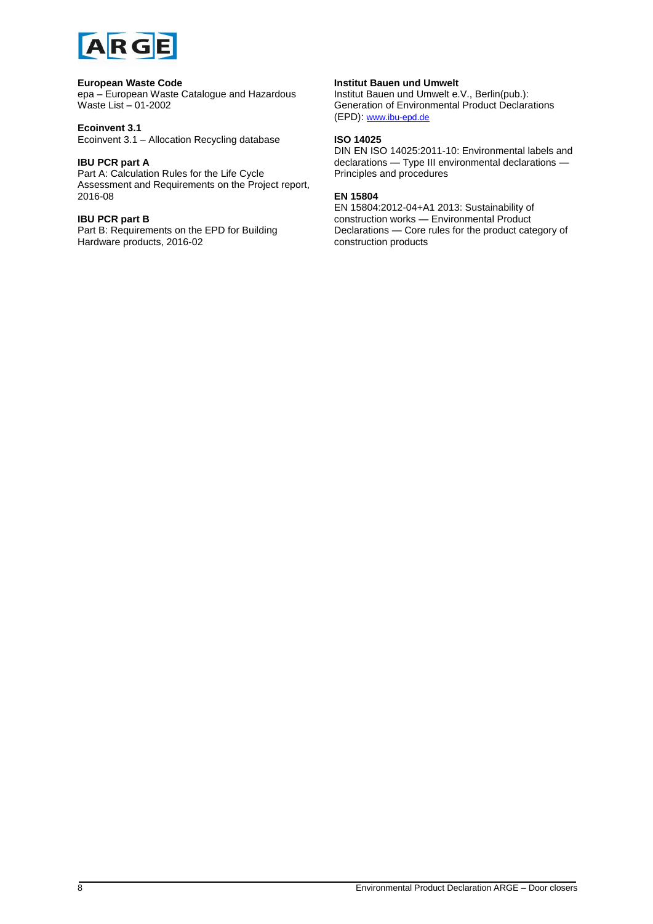

#### **European Waste Code**

epa – European Waste Catalogue and Hazardous Waste List – 01-2002

#### **Ecoinvent 3.1**

Ecoinvent 3.1 – Allocation Recycling database

#### **IBU PCR part A**

Part A: Calculation Rules for the Life Cycle Assessment and Requirements on the Project report, 2016-08

#### **IBU PCR part B**

Part B: Requirements on the EPD for Building Hardware products, 2016-02

#### **Institut Bauen und Umwelt**

Institut Bauen und Umwelt e.V., Berlin(pub.): Generation of Environmental Product Declarations (EPD): [www.ibu-epd.de](http://www.bau-umwelt.de/)

#### **ISO 14025**

DIN EN ISO 14025:2011-10: Environmental labels and declarations — Type III environmental declarations — Principles and procedures

#### **EN 15804**

EN 15804:2012-04+A1 2013: Sustainability of construction works — Environmental Product Declarations — Core rules for the product category of construction products